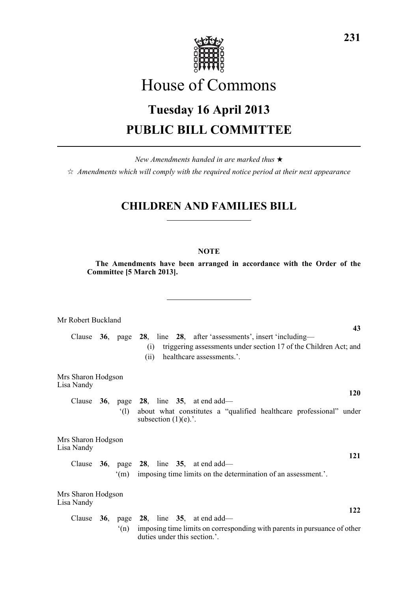

# House of Commons

# **Tuesday 16 April 2013 PUBLIC BILL COMMITTEE**

*New Amendments handed in are marked thus* \*

 $\dot{\varphi}$  *Amendments which will comply with the required notice period at their next appearance* 

## **CHILDREN AND FAMILIES BILL**

### **NOTE**

**The Amendments have been arranged in accordance with the Order of the Committee [5 March 2013].**

Mr Robert Buckland **43** Clause **36**, page **28**, line **28**, after 'assessments', insert 'including— (i) triggering assessments under section 17 of the Children Act; and (ii) healthcare assessments.'. Mrs Sharon Hodgson Lisa Nandy **120** Clause **36**, page **28**, line **35**, at end add— '(l) about what constitutes a "qualified healthcare professional" under subsection  $(1)(e)$ .'. Mrs Sharon Hodgson Lisa Nandy **121** Clause **36**, page **28**, line **35**, at end add— '(m) imposing time limits on the determination of an assessment.'. Mrs Sharon Hodgson Lisa Nandy **122** Clause **36**, page **28**, line **35**, at end add— '(n) imposing time limits on corresponding with parents in pursuance of other duties under this section.'.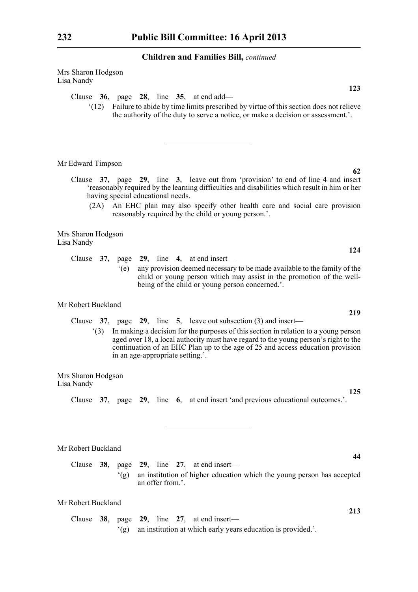| Mrs Sharon Hodgson<br>Lisa Nandy                                                                                                                                                                                                                                                                                                                                          |
|---------------------------------------------------------------------------------------------------------------------------------------------------------------------------------------------------------------------------------------------------------------------------------------------------------------------------------------------------------------------------|
| 123                                                                                                                                                                                                                                                                                                                                                                       |
| Clause $36$ , page $28$ , line $35$ , at end add—<br>Failure to abide by time limits prescribed by virtue of this section does not relieve<br>(12)<br>the authority of the duty to serve a notice, or make a decision or assessment.'.                                                                                                                                    |
| Mr Edward Timpson                                                                                                                                                                                                                                                                                                                                                         |
| 62<br>Clause 37, page 29, line 3, leave out from 'provision' to end of line 4 and insert<br>'reasonably required by the learning difficulties and disabilities which result in him or her<br>having special educational needs.<br>An EHC plan may also specify other health care and social care provision<br>(2A)<br>reasonably required by the child or young person.'. |
| Mrs Sharon Hodgson<br>Lisa Nandy                                                                                                                                                                                                                                                                                                                                          |
| 124                                                                                                                                                                                                                                                                                                                                                                       |
| Clause $37$ , page $29$ , line 4, at end insert—<br>any provision deemed necessary to be made available to the family of the<br>(e)<br>child or young person which may assist in the promotion of the well-<br>being of the child or young person concerned.'.                                                                                                            |
| Mr Robert Buckland<br>219                                                                                                                                                                                                                                                                                                                                                 |
| Clause $37$ , page $29$ , line $5$ , leave out subsection (3) and insert—                                                                                                                                                                                                                                                                                                 |
| In making a decision for the purposes of this section in relation to a young person<br>(3)<br>aged over 18, a local authority must have regard to the young person's right to the<br>continuation of an EHC Plan up to the age of 25 and access education provision<br>in an age-appropriate setting.'.                                                                   |
| Mrs Sharon Hodgson<br>Lisa Nandy                                                                                                                                                                                                                                                                                                                                          |
| 125<br>Clause 37, page 29, line 6, at end insert 'and previous educational outcomes.'.                                                                                                                                                                                                                                                                                    |
| Mr Robert Buckland<br>44<br>Clause<br>38,<br>page 29,<br>line $27$ ,<br>at end insert-                                                                                                                                                                                                                                                                                    |

'(g) an institution of higher education which the young person has accepted an offer from.'.

### Mr Robert Buckland

Clause **38**, page **29**, line **27**, at end insert— '(g) an institution at which early years education is provided.'.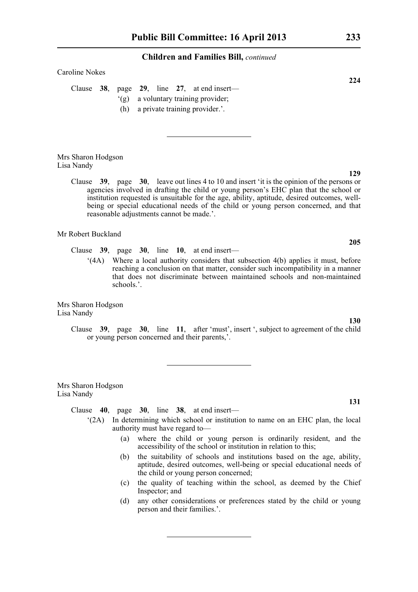#### Caroline Nokes

Clause **38**, page **29**, line **27**, at end insert— '(g) a voluntary training provider;

(h) a private training provider.'.

Mrs Sharon Hodgson Lisa Nandy

> Clause **39**, page **30**, leave out lines 4 to 10 and insert 'it is the opinion of the persons or agencies involved in drafting the child or young person's EHC plan that the school or institution requested is unsuitable for the age, ability, aptitude, desired outcomes, wellbeing or special educational needs of the child or young person concerned, and that reasonable adjustments cannot be made.'.

Mr Robert Buckland

- Clause **39**, page **30**, line **10**, at end insert—
	- '(4A) Where a local authority considers that subsection 4(b) applies it must, before reaching a conclusion on that matter, consider such incompatibility in a manner that does not discriminate between maintained schools and non-maintained schools.'.

Mrs Sharon Hodgson Lisa Nandy

> Clause **39**, page **30**, line **11**, after 'must', insert ', subject to agreement of the child or young person concerned and their parents,'.

Mrs Sharon Hodgson Lisa Nandy

Clause **40**, page **30**, line **38**, at end insert—

- '(2A) In determining which school or institution to name on an EHC plan, the local authority must have regard to—
	- (a) where the child or young person is ordinarily resident, and the accessibility of the school or institution in relation to this;
	- (b) the suitability of schools and institutions based on the age, ability, aptitude, desired outcomes, well-being or special educational needs of the child or young person concerned;
	- (c) the quality of teaching within the school, as deemed by the Chief Inspector; and
	- (d) any other considerations or preferences stated by the child or young person and their families.'.

**224**

**205**

#### **131**

**130**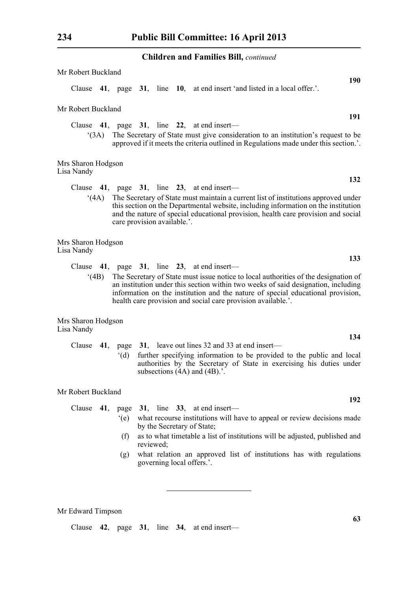| Mr Robert Buckland               |      |                             |           |  |                                                                                                                                                                                                                                                                                                                             |            |
|----------------------------------|------|-----------------------------|-----------|--|-----------------------------------------------------------------------------------------------------------------------------------------------------------------------------------------------------------------------------------------------------------------------------------------------------------------------------|------------|
|                                  |      |                             |           |  | Clause 41, page 31, line 10, at end insert 'and listed in a local offer.'.                                                                                                                                                                                                                                                  | <b>190</b> |
| Mr Robert Buckland               |      |                             |           |  |                                                                                                                                                                                                                                                                                                                             |            |
|                                  | (3A) |                             |           |  | Clause $41$ , page $31$ , line $22$ , at end insert—<br>The Secretary of State must give consideration to an institution's request to be<br>approved if it meets the criteria outlined in Regulations made under this section.'.                                                                                            | 191        |
| Mrs Sharon Hodgson<br>Lisa Nandy |      |                             |           |  |                                                                                                                                                                                                                                                                                                                             |            |
|                                  |      |                             |           |  | Clause $41$ , page $31$ , line $23$ , at end insert—                                                                                                                                                                                                                                                                        | 132        |
|                                  | (4A) | care provision available.'. |           |  | The Secretary of State must maintain a current list of institutions approved under<br>this section on the Departmental website, including information on the institution<br>and the nature of special educational provision, health care provision and social                                                               |            |
| Mrs Sharon Hodgson<br>Lisa Nandy |      |                             |           |  |                                                                                                                                                                                                                                                                                                                             |            |
|                                  |      |                             |           |  | Clause $41$ , page $31$ , line $23$ , at end insert—                                                                                                                                                                                                                                                                        | 133        |
|                                  | (4B) |                             |           |  | The Secretary of State must issue notice to local authorities of the designation of<br>an institution under this section within two weeks of said designation, including<br>information on the institution and the nature of special educational provision,<br>health care provision and social care provision available.'. |            |
| Mrs Sharon Hodgson<br>Lisa Nandy |      |                             |           |  |                                                                                                                                                                                                                                                                                                                             |            |
|                                  |      |                             |           |  | Clause 41, page 31, leave out lines 32 and 33 at end insert—                                                                                                                                                                                                                                                                | 134        |
|                                  |      | $^{\circ}$ (d)              |           |  | further specifying information to be provided to the public and local<br>authorities by the Secretary of State in exercising his duties under<br>subsections $(4A)$ and $(4B)$ .'.                                                                                                                                          |            |
| Mr Robert Buckland               |      |                             |           |  |                                                                                                                                                                                                                                                                                                                             |            |
| Clause $41$ ,                    |      | page 31,                    |           |  | line $33$ , at end insert-                                                                                                                                                                                                                                                                                                  | 192        |
|                                  |      | $\degree$ (e)               |           |  | what recourse institutions will have to appeal or review decisions made<br>by the Secretary of State;                                                                                                                                                                                                                       |            |
|                                  |      | (f)                         | reviewed; |  | as to what timetable a list of institutions will be adjusted, published and                                                                                                                                                                                                                                                 |            |
|                                  |      | (g)                         |           |  | what relation an approved list of institutions has with regulations<br>governing local offers.'.                                                                                                                                                                                                                            |            |

**63**

Mr Edward Timpson

Clause **42**, page **31**, line **34**, at end insert—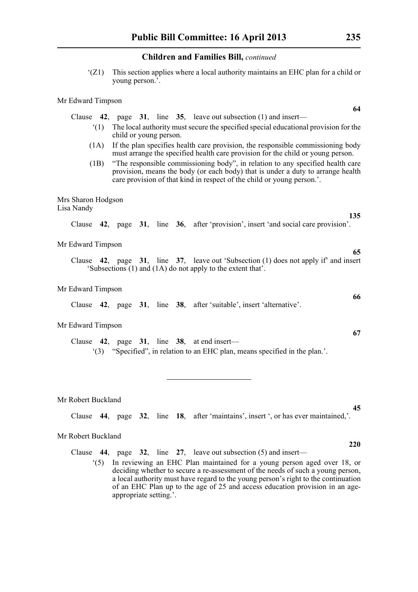'(Z1) This section applies where a local authority maintains an EHC plan for a child or young person.'.

#### Mr Edward Timpson

Clause **42**, page **31**, line **35**, leave out subsection (1) and insert—

- '(1) The local authority must secure the specified special educational provision for the child or young person.
- (1A) If the plan specifies health care provision, the responsible commissioning body must arrange the specified health care provision for the child or young person.
- (1B) "The responsible commissioning body", in relation to any specified health care provision, means the body (or each body) that is under a duty to arrange health care provision of that kind in respect of the child or young person.'.

#### Mrs Sharon Hodgson Lisa Nandy

Clause **42**, page **31**, line **36**, after 'provision', insert 'and social care provision'.

#### Mr Edward Timpson

Clause **42**, page **31**, line **37**, leave out 'Subsection (1) does not apply if' and insert 'Subsections (1) and (1A) do not apply to the extent that'.

#### Mr Edward Timpson

Clause **42**, page **31**, line **38**, after 'suitable', insert 'alternative'.

#### Mr Edward Timpson

Clause **42**, page **31**, line **38**, at end insert— '(3) "Specified", in relation to an EHC plan, means specified in the plan.'.

Mr Robert Buckland

Clause **44**, page **32**, line **18**, after 'maintains', insert ', or has ever maintained,'.

#### Mr Robert Buckland

Clause **44**, page **32**, line **27**, leave out subsection (5) and insert—

'(5) In reviewing an EHC Plan maintained for a young person aged over 18, or deciding whether to secure a re-assessment of the needs of such a young person, a local authority must have regard to the young person's right to the continuation of an EHC Plan up to the age of 25 and access education provision in an ageappropriate setting.'.

**64**

**135**

**65**

**67**

**66**

**220**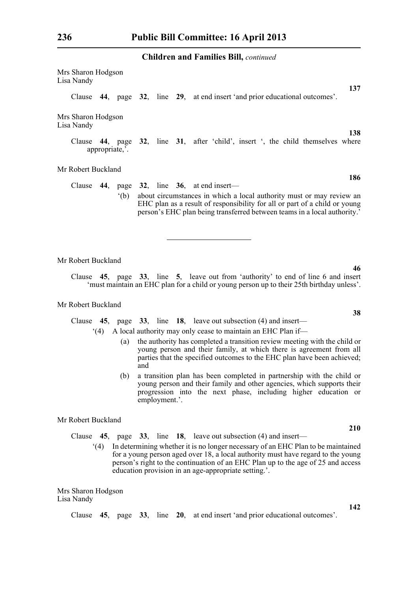Mrs Sharon Hodgson Lisa Nandy **137** Clause **44**, page **32**, line **29**, at end insert 'and prior educational outcomes'. Mrs Sharon Hodgson Lisa Nandy **138** Clause **44**, page **32**, line **31**, after 'child', insert ', the child themselves where appropriate,'. Mr Robert Buckland **186** Clause **44**, page **32**, line **36**, at end insert— '(b) about circumstances in which a local authority must or may review an EHC plan as a result of responsibility for all or part of a child or young person's EHC plan being transferred between teams in a local authority.'

Mr Robert Buckland

Clause **45**, page **33**, line **5**, leave out from 'authority' to end of line 6 and insert 'must maintain an EHC plan for a child or young person up to their 25th birthday unless'.

### Mr Robert Buckland

Clause **45**, page **33**, line **18**, leave out subsection (4) and insert—

'(4) A local authority may only cease to maintain an EHC Plan if—

- (a) the authority has completed a transition review meeting with the child or young person and their family, at which there is agreement from all parties that the specified outcomes to the EHC plan have been achieved; and
- (b) a transition plan has been completed in partnership with the child or young person and their family and other agencies, which supports their progression into the next phase, including higher education or employment.'.

Mr Robert Buckland

Clause **45**, page **33**, line **18**, leave out subsection (4) and insert—

'(4) In determining whether it is no longer necessary of an EHC Plan to be maintained for a young person aged over 18, a local authority must have regard to the young person's right to the continuation of an EHC Plan up to the age of 25 and access education provision in an age-appropriate setting.'.

Mrs Sharon Hodgson Lisa Nandy

Clause **45**, page **33**, line **20**, at end insert 'and prior educational outcomes'.

**46**

**38**

**210**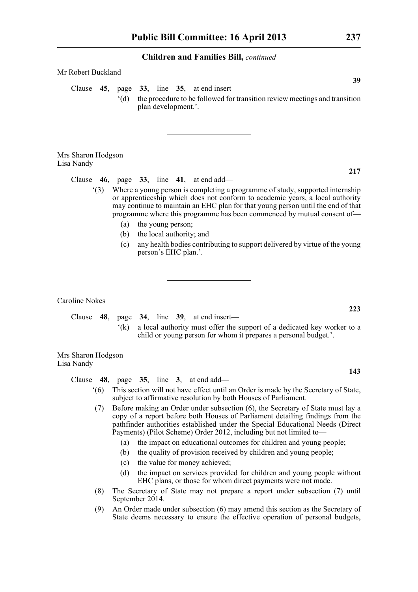| Mr Robert Buckland |  |                     |                                                                                                                                          |  |
|--------------------|--|---------------------|------------------------------------------------------------------------------------------------------------------------------------------|--|
|                    |  | plan development.'. | 39<br>Clause $45$ , page $33$ , line $35$ , at end insert—<br>the procedure to be followed for transition review meetings and transition |  |

Mrs Sharon Hodgson Lisa Nandy

Clause **46**, page **33**, line **41**, at end add—

- '(3) Where a young person is completing a programme of study, supported internship or apprenticeship which does not conform to academic years, a local authority may continue to maintain an EHC plan for that young person until the end of that programme where this programme has been commenced by mutual consent of—
	- (a) the young person;
	- (b) the local authority; and
	- (c) any health bodies contributing to support delivered by virtue of the young person's EHC plan.'.

Caroline Nokes

Clause **48**, page **34**, line **39**, at end insert— '(k) a local authority must offer the support of a dedicated key worker to a child or young person for whom it prepares a personal budget.'.

Mrs Sharon Hodgson Lisa Nandy

Clause **48**, page **35**, line **3**, at end add—

- '(6) This section will not have effect until an Order is made by the Secretary of State, subject to affirmative resolution by both Houses of Parliament.
- (7) Before making an Order under subsection (6), the Secretary of State must lay a copy of a report before both Houses of Parliament detailing findings from the pathfinder authorities established under the Special Educational Needs (Direct Payments) (Pilot Scheme) Order 2012, including but not limited to—
	- (a) the impact on educational outcomes for children and young people;
	- (b) the quality of provision received by children and young people;
	- (c) the value for money achieved;
	- (d) the impact on services provided for children and young people without EHC plans, or those for whom direct payments were not made.
- (8) The Secretary of State may not prepare a report under subsection (7) until September 2014.
- (9) An Order made under subsection (6) may amend this section as the Secretary of State deems necessary to ensure the effective operation of personal budgets,

**223**

**143**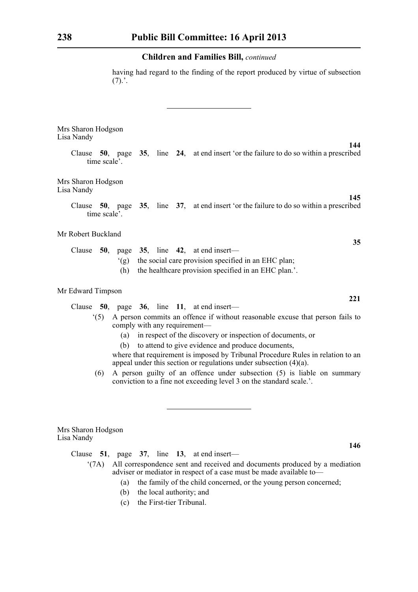having had regard to the finding of the report produced by virtue of subsection  $(7).'.$ 

Mrs Sharon Hodgson Lisa Nandy

> Clause **50**, page **35**, line **24**, at end insert 'or the failure to do so within a prescribed time scale'.

Mrs Sharon Hodgson Lisa Nandy

> Clause **50**, page **35**, line **37**, at end insert 'or the failure to do so within a prescribed time scale'.

Mr Robert Buckland

|  |                                                         |                                                          | Clause $50$ , page $35$ , line $42$ , at end insert— |  |  |  |  |
|--|---------------------------------------------------------|----------------------------------------------------------|------------------------------------------------------|--|--|--|--|
|  | (g) the social care provision specified in an EHC plan; |                                                          |                                                      |  |  |  |  |
|  |                                                         | (h) the healthcare provision specified in an EHC plan.'. |                                                      |  |  |  |  |

#### Mr Edward Timpson

Clause **50**, page **36**, line **11**, at end insert—

- '(5) A person commits an offence if without reasonable excuse that person fails to comply with any requirement—
	- (a) in respect of the discovery or inspection of documents, or
	- (b) to attend to give evidence and produce documents,

where that requirement is imposed by Tribunal Procedure Rules in relation to an appeal under this section or regulations under subsection  $(4)(a)$ .

(6) A person guilty of an offence under subsection (5) is liable on summary conviction to a fine not exceeding level 3 on the standard scale.'.

Mrs Sharon Hodgson Lisa Nandy

Clause **51**, page **37**, line **13**, at end insert—

- '(7A) All correspondence sent and received and documents produced by a mediation adviser or mediator in respect of a case must be made available to—
	- (a) the family of the child concerned, or the young person concerned;
	- (b) the local authority; and
	- (c) the First-tier Tribunal.

**35**

**145**

**144**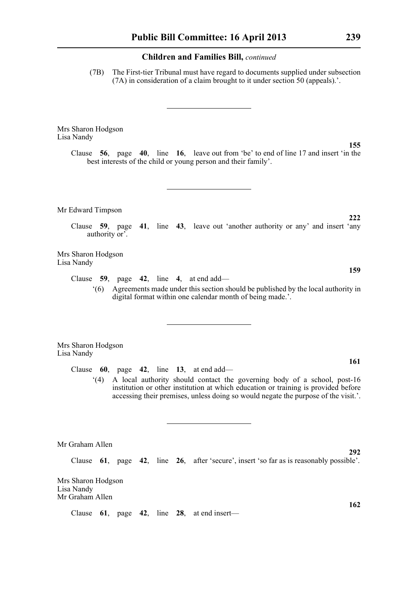(7B) The First-tier Tribunal must have regard to documents supplied under subsection (7A) in consideration of a claim brought to it under section 50 (appeals).'.

Mrs Sharon Hodgson Lisa Nandy

> Clause **56**, page **40**, line **16**, leave out from 'be' to end of line 17 and insert 'in the best interests of the child or young person and their family'.

Mr Edward Timpson

Clause **59**, page **41**, line **43**, leave out 'another authority or any' and insert 'any authority or'.

Mrs Sharon Hodgson Lisa Nandy

Clause **59**, page **42**, line **4**, at end add—

'(6) Agreements made under this section should be published by the local authority in digital format within one calendar month of being made.'.

Mrs Sharon Hodgson Lisa Nandy

Clause **60**, page **42**, line **13**, at end add—

'(4) A local authority should contact the governing body of a school, post-16 institution or other institution at which education or training is provided before accessing their premises, unless doing so would negate the purpose of the visit.'.

Mr Graham Allen

Clause **61**, page **42**, line **26**, after 'secure', insert 'so far as is reasonably possible'.

Mrs Sharon Hodgson Lisa Nandy Mr Graham Allen

Clause **61**, page **42**, line **28**, at end insert—

**161**

**292**

**162**

**222**

**159**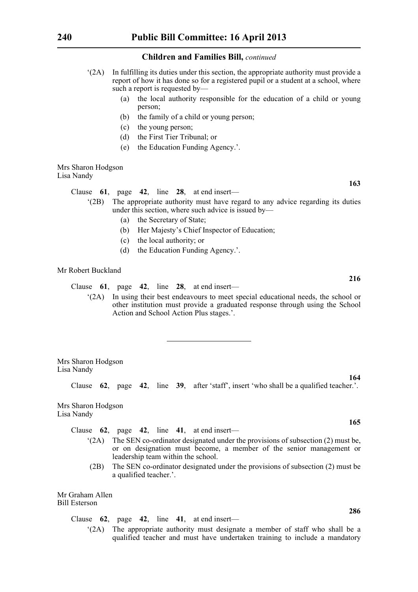- '(2A) In fulfilling its duties under this section, the appropriate authority must provide a report of how it has done so for a registered pupil or a student at a school, where such a report is requested by—
	- (a) the local authority responsible for the education of a child or young person;
	- (b) the family of a child or young person;
	- (c) the young person;
	- (d) the First Tier Tribunal; or
	- (e) the Education Funding Agency.'.

#### Mrs Sharon Hodgson Lisa Nandy

Clause **61**, page **42**, line **28**, at end insert—

- '(2B) The appropriate authority must have regard to any advice regarding its duties under this section, where such advice is issued by—
	- (a) the Secretary of State;
	- (b) Her Majesty's Chief Inspector of Education;
	- (c) the local authority; or
	- (d) the Education Funding Agency.'.

#### Mr Robert Buckland

Clause **61**, page **42**, line **28**, at end insert—

'(2A) In using their best endeavours to meet special educational needs, the school or other institution must provide a graduated response through using the School Action and School Action Plus stages.'.

Mrs Sharon Hodgson Lisa Nandy

Clause **62**, page **42**, line **39**, after 'staff', insert 'who shall be a qualified teacher.'.

Mrs Sharon Hodgson Lisa Nandy

Clause **62**, page **42**, line **41**, at end insert—

- '(2A) The SEN co-ordinator designated under the provisions of subsection (2) must be, or on designation must become, a member of the senior management or leadership team within the school.
- (2B) The SEN co-ordinator designated under the provisions of subsection (2) must be a qualified teacher.'.

Mr Graham Allen Bill Esterson

Clause **62**, page **42**, line **41**, at end insert—

'(2A) The appropriate authority must designate a member of staff who shall be a qualified teacher and must have undertaken training to include a mandatory

**163**

**216**

**164**

**165**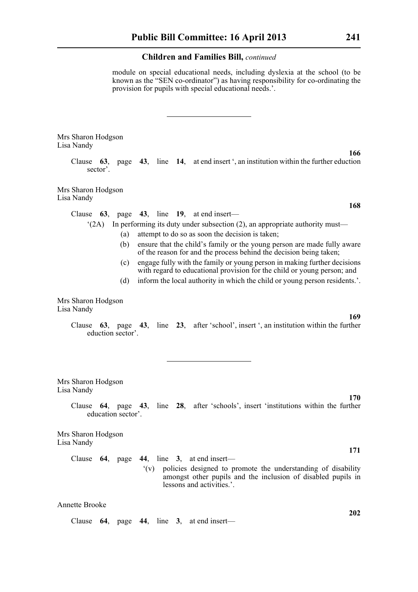module on special educational needs, including dyslexia at the school (to be known as the "SEN co-ordinator") as having responsibility for co-ordinating the provision for pupils with special educational needs.'.

Mrs Sharon Hodgson Lisa Nandy

> Clause **63**, page **43**, line **14**, at end insert ', an institution within the further eduction sector'.

Mrs Sharon Hodgson Lisa Nandy

Clause **63**, page **43**, line **19**, at end insert—

'(2A) In performing its duty under subsection (2), an appropriate authority must—

- (a) attempt to do so as soon the decision is taken;
- (b) ensure that the child's family or the young person are made fully aware of the reason for and the process behind the decision being taken;
- (c) engage fully with the family or young person in making further decisions with regard to educational provision for the child or young person; and
- (d) inform the local authority in which the child or young person residents.'.

Mrs Sharon Hodgson Lisa Nandy

> Clause **63**, page **43**, line **23**, after 'school', insert ', an institution within the further eduction sector'.

Mrs Sharon Hodgson Lisa Nandy

**170**

**171**

**202**

**169**

Clause **64**, page **43**, line **28**, after 'schools', insert 'institutions within the further education sector'.

Mrs Sharon Hodgson Lisa Nandy

> Clause **64**, page **44**, line **3**, at end insert— '(v) policies designed to promote the understanding of disability amongst other pupils and the inclusion of disabled pupils in

> > lessons and activities.'.

Clause **64**, page **44**, line **3**, at end insert—

**166**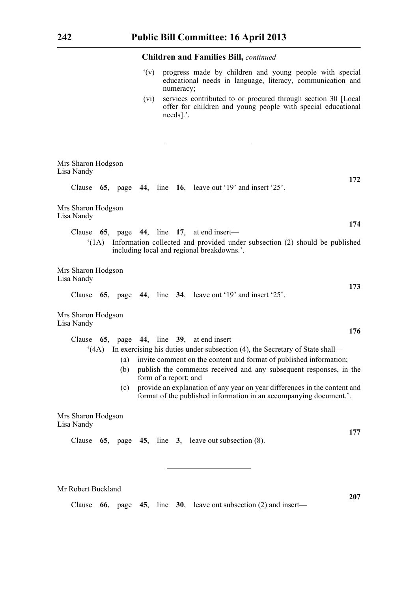- '(v) progress made by children and young people with special educational needs in language, literacy, communication and numeracy;
- (vi) services contributed to or procured through section 30 [Local offer for children and young people with special educational needs].'.

| Mrs Sharon Hodgson<br>Lisa Nandy |      |     |  |                       |  |                                                                                                                                                 |  |  |  |
|----------------------------------|------|-----|--|-----------------------|--|-------------------------------------------------------------------------------------------------------------------------------------------------|--|--|--|
| Clause                           |      |     |  |                       |  | 172<br>65, page 44, line 16, leave out '19' and insert '25'.                                                                                    |  |  |  |
| Mrs Sharon Hodgson<br>Lisa Nandy |      |     |  |                       |  |                                                                                                                                                 |  |  |  |
| Clause                           |      |     |  |                       |  | 174<br>65, page 44, line 17, at end insert—                                                                                                     |  |  |  |
|                                  | (1A) |     |  |                       |  | Information collected and provided under subsection (2) should be published<br>including local and regional breakdowns.'.                       |  |  |  |
| Mrs Sharon Hodgson<br>Lisa Nandy |      |     |  |                       |  | 173                                                                                                                                             |  |  |  |
| Clause                           |      |     |  |                       |  | 65, page 44, line 34, leave out '19' and insert '25'.                                                                                           |  |  |  |
| Mrs Sharon Hodgson<br>Lisa Nandy |      |     |  |                       |  |                                                                                                                                                 |  |  |  |
| Clause                           |      |     |  |                       |  | 176<br>65, page 44, line 39, at end insert—                                                                                                     |  |  |  |
|                                  | (4A) |     |  |                       |  | In exercising his duties under subsection (4), the Secretary of State shall—                                                                    |  |  |  |
|                                  |      | (a) |  |                       |  | invite comment on the content and format of published information;                                                                              |  |  |  |
|                                  |      | (b) |  | form of a report; and |  | publish the comments received and any subsequent responses, in the                                                                              |  |  |  |
|                                  |      | (c) |  |                       |  | provide an explanation of any year on year differences in the content and<br>format of the published information in an accompanying document.'. |  |  |  |
| Mrs Sharon Hodgson<br>Lisa Nandy |      |     |  |                       |  |                                                                                                                                                 |  |  |  |
| Clause                           |      |     |  |                       |  | 177<br>65, page 45, line 3, leave out subsection $(8)$ .                                                                                        |  |  |  |
|                                  |      |     |  |                       |  |                                                                                                                                                 |  |  |  |
|                                  |      |     |  |                       |  |                                                                                                                                                 |  |  |  |

Mr Robert Buckland

Clause **66**, page **45**, line **30**, leave out subsection (2) and insert—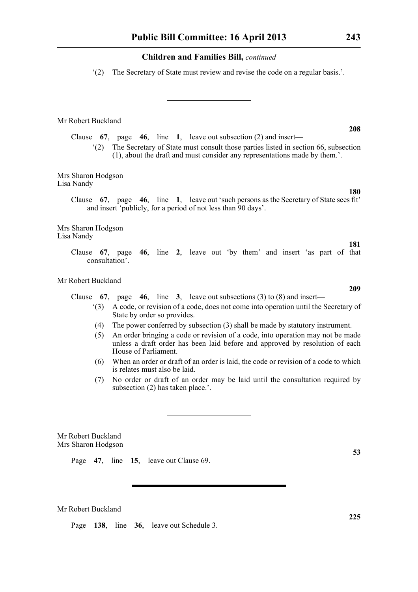'(2) The Secretary of State must review and revise the code on a regular basis.'.

Mr Robert Buckland

Clause **67**, page **46**, line **1**, leave out subsection (2) and insert—

'(2) The Secretary of State must consult those parties listed in section 66, subsection (1), about the draft and must consider any representations made by them.'.

Mrs Sharon Hodgson Lisa Nandy

> Clause **67**, page **46**, line **1**, leave out 'such persons as the Secretary of State sees fit' and insert 'publicly, for a period of not less than 90 days'.

Mrs Sharon Hodgson Lisa Nandy

> Clause **67**, page **46**, line **2**, leave out 'by them' and insert 'as part of that consultation'.

Mr Robert Buckland

Clause **67**, page **46**, line **3**, leave out subsections (3) to (8) and insert—

- '(3) A code, or revision of a code, does not come into operation until the Secretary of State by order so provides.
- (4) The power conferred by subsection (3) shall be made by statutory instrument.
- (5) An order bringing a code or revision of a code, into operation may not be made unless a draft order has been laid before and approved by resolution of each House of Parliament.
- (6) When an order or draft of an order is laid, the code or revision of a code to which is relates must also be laid.
- (7) No order or draft of an order may be laid until the consultation required by subsection (2) has taken place.'.

Mr Robert Buckland Mrs Sharon Hodgson

Page **47**, line **15**, leave out Clause 69.

Mr Robert Buckland

Page **138**, line **36**, leave out Schedule 3.

**208**

**181**

**180**

**209**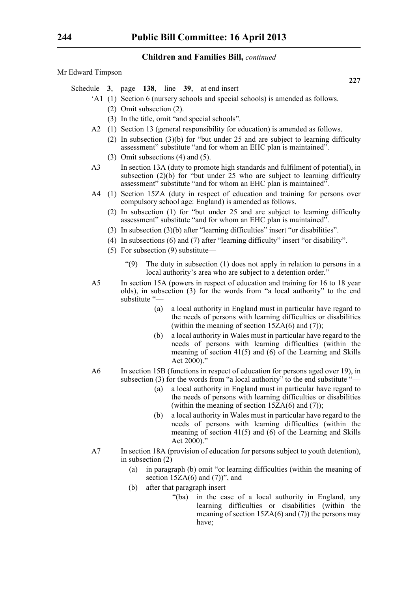Mr Edward Timpson

- Schedule **3**, page **138**, line **39**, at end insert—
	- 'A1 (1) Section 6 (nursery schools and special schools) is amended as follows.
		- (2) Omit subsection (2).
		- (3) In the title, omit "and special schools".
	- A2 (1) Section 13 (general responsibility for education) is amended as follows.
		- (2) In subsection (3)(b) for "but under 25 and are subject to learning difficulty assessment" substitute "and for whom an EHC plan is maintained".
		- (3) Omit subsections (4) and (5).
	- A3 In section 13A (duty to promote high standards and fulfilment of potential), in subsection  $(2)(b)$  for "but under 25 who are subject to learning difficulty assessment" substitute "and for whom an EHC plan is maintained".
	- A4 (1) Section 15ZA (duty in respect of education and training for persons over compulsory school age: England) is amended as follows.
		- (2) In subsection (1) for "but under 25 and are subject to learning difficulty assessment" substitute "and for whom an EHC plan is maintained".
		- (3) In subsection (3)(b) after "learning difficulties" insert "or disabilities".
		- (4) In subsections (6) and (7) after "learning difficulty" insert "or disability".
		- (5) For subsection (9) substitute—
			- "(9) The duty in subsection (1) does not apply in relation to persons in a local authority's area who are subject to a detention order."
	- A5 In section 15A (powers in respect of education and training for 16 to 18 year olds), in subsection (3) for the words from "a local authority" to the end substitute "—
		- (a) a local authority in England must in particular have regard to the needs of persons with learning difficulties or disabilities (within the meaning of section  $15ZA(6)$  and (7));
		- (b) a local authority in Wales must in particular have regard to the needs of persons with learning difficulties (within the meaning of section 41(5) and (6) of the Learning and Skills Act  $2000$ ."
	- A6 In section 15B (functions in respect of education for persons aged over 19), in subsection (3) for the words from "a local authority" to the end substitute  $-$ 
		- (a) a local authority in England must in particular have regard to the needs of persons with learning difficulties or disabilities (within the meaning of section  $15ZA(6)$  and (7));
		- (b) a local authority in Wales must in particular have regard to the needs of persons with learning difficulties (within the meaning of section 41(5) and (6) of the Learning and Skills Act 2000)."
	- A7 In section 18A (provision of education for persons subject to youth detention), in subsection (2)—
		- (a) in paragraph (b) omit "or learning difficulties (within the meaning of section  $15ZA(6)$  and  $(7)$ ", and
		- (b) after that paragraph insert—
			- "(ba) in the case of a local authority in England, any learning difficulties or disabilities (within the meaning of section  $15ZA(6)$  and (7)) the persons may have;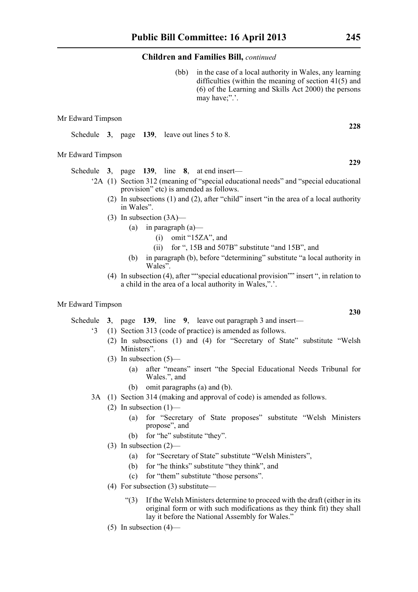(bb) in the case of a local authority in Wales, any learning difficulties (within the meaning of section 41(5) and (6) of the Learning and Skills Act 2000) the persons may have;".'.

#### Mr Edward Timpson

Schedule **3**, page **139**, leave out lines 5 to 8.

#### Mr Edward Timpson

Schedule **3**, page **139**, line **8**, at end insert—

- '2A (1) Section 312 (meaning of "special educational needs" and "special educational provision" etc) is amended as follows.
	- (2) In subsections (1) and (2), after "child" insert "in the area of a local authority in Wales".
	- (3) In subsection (3A)—
		- (a) in paragraph  $(a)$ 
			- (i) omit "15ZA", and
			- (ii) for ", 15B and 507B" substitute "and 15B", and
		- (b) in paragraph (b), before "determining" substitute "a local authority in Wales".
	- (4) In subsection (4), after ""special educational provision"" insert ", in relation to a child in the area of a local authority in Wales,".'.

#### Mr Edward Timpson

Schedule **3**, page **139**, line **9**, leave out paragraph 3 and insert—

- '3 (1) Section 313 (code of practice) is amended as follows.
	- (2) In subsections (1) and (4) for "Secretary of State" substitute "Welsh Ministers".
	- $(3)$  In subsection  $(5)$ 
		- (a) after "means" insert "the Special Educational Needs Tribunal for Wales.", and
		- (b) omit paragraphs (a) and (b).
- 3A (1) Section 314 (making and approval of code) is amended as follows.
	- (2) In subsection  $(1)$ 
		- (a) for "Secretary of State proposes" substitute "Welsh Ministers propose", and
		- (b) for "he" substitute "they".
	- (3) In subsection (2)—
		- (a) for "Secretary of State" substitute "Welsh Ministers",
		- (b) for "he thinks" substitute "they think", and
		- (c) for "them" substitute "those persons".
	- (4) For subsection (3) substitute—
		- "(3) If the Welsh Ministers determine to proceed with the draft (either in its original form or with such modifications as they think fit) they shall lay it before the National Assembly for Wales."
	- $(5)$  In subsection  $(4)$ —

**228**

**229**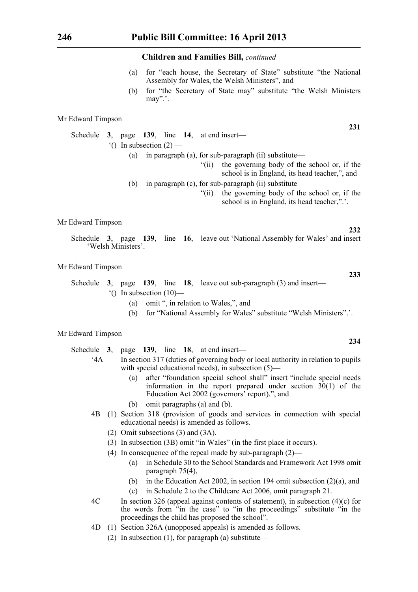- (a) for "each house, the Secretary of State" substitute "the National Assembly for Wales, the Welsh Ministers", and
- (b) for "the Secretary of State may" substitute "the Welsh Ministers may".'.

#### Mr Edward Timpson

Schedule **3**, page **139**, line **14**, at end insert—  $^{\circ}$ () In subsection (2) —

- (a) in paragraph (a), for sub-paragraph (ii) substitute—
	- "(ii) the governing body of the school or, if the school is in England, its head teacher,", and
- (b) in paragraph (c), for sub-paragraph (ii) substitute—
	- "(ii) the governing body of the school or, if the school is in England, its head teacher,".'.

Mr Edward Timpson

Schedule **3**, page **139**, line **16**, leave out 'National Assembly for Wales' and insert 'Welsh Ministers'.

#### Mr Edward Timpson

- Schedule **3**, page **139**, line **18**, leave out sub-paragraph (3) and insert—  $^{\circ}$ () In subsection (10)—
	- (a) omit ", in relation to Wales,", and
	- (b) for "National Assembly for Wales" substitute "Welsh Ministers".'.

#### Mr Edward Timpson

#### Schedule **3**, page **139**, line **18**, at end insert—

- '4A In section 317 (duties of governing body or local authority in relation to pupils with special educational needs), in subsection (5)—
	- (a) after "foundation special school shall" insert "include special needs information in the report prepared under section  $30(1)$  of the Education Act 2002 (governors' report).", and
	- (b) omit paragraphs (a) and (b).
- 4B (1) Section 318 (provision of goods and services in connection with special educational needs) is amended as follows.
	- (2) Omit subsections (3) and (3A).
	- (3) In subsection (3B) omit "in Wales" (in the first place it occurs).
	- (4) In consequence of the repeal made by sub-paragraph (2)—
		- (a) in Schedule 30 to the School Standards and Framework Act 1998 omit paragraph 75(4),
		- (b) in the Education Act 2002, in section 194 omit subsection (2)(a), and
		- (c) in Schedule 2 to the Childcare Act 2006, omit paragraph 21.
- 4C In section 326 (appeal against contents of statement), in subsection (4)(c) for the words from "in the case" to "in the proceedings" substitute "in the proceedings the child has proposed the school".
- 4D (1) Section 326A (unopposed appeals) is amended as follows.
	- (2) In subsection (1), for paragraph (a) substitute—

**231**

**233**

**232**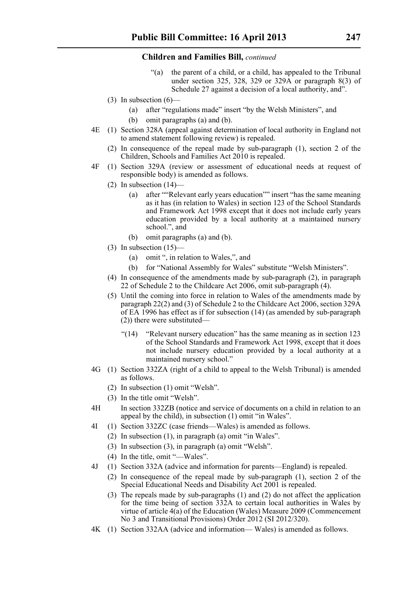- "(a) the parent of a child, or a child, has appealed to the Tribunal under section 325, 328, 329 or 329A or paragraph 8(3) of Schedule 27 against a decision of a local authority, and".
- (3) In subsection  $(6)$ 
	- (a) after "regulations made" insert "by the Welsh Ministers", and
	- (b) omit paragraphs (a) and (b).
- 4E (1) Section 328A (appeal against determination of local authority in England not to amend statement following review) is repealed.
	- (2) In consequence of the repeal made by sub-paragraph (1), section 2 of the Children, Schools and Families Act 2010 is repealed.
- 4F (1) Section 329A (review or assessment of educational needs at request of responsible body) is amended as follows.
	- (2) In subsection  $(14)$ 
		- (a) after ""Relevant early years education"" insert "has the same meaning as it has (in relation to Wales) in section 123 of the School Standards and Framework Act 1998 except that it does not include early years education provided by a local authority at a maintained nursery school.", and
		- (b) omit paragraphs (a) and (b).
	- (3) In subsection  $(15)$ 
		- (a) omit ", in relation to Wales,", and
		- (b) for "National Assembly for Wales" substitute "Welsh Ministers".
	- (4) In consequence of the amendments made by sub-paragraph (2), in paragraph 22 of Schedule 2 to the Childcare Act 2006, omit sub-paragraph (4).
	- (5) Until the coming into force in relation to Wales of the amendments made by paragraph 22(2) and (3) of Schedule 2 to the Childcare Act 2006, section 329A of EA 1996 has effect as if for subsection (14) (as amended by sub-paragraph (2)) there were substituted—
		- "(14) "Relevant nursery education" has the same meaning as in section 123 of the School Standards and Framework Act 1998, except that it does not include nursery education provided by a local authority at a maintained nursery school."
- 4G (1) Section 332ZA (right of a child to appeal to the Welsh Tribunal) is amended as follows.
	- (2) In subsection (1) omit "Welsh".
	- (3) In the title omit "Welsh".
- 4H In section 332ZB (notice and service of documents on a child in relation to an appeal by the child), in subsection (1) omit "in Wales".
- 4I (1) Section 332ZC (case friends—Wales) is amended as follows.
	- (2) In subsection (1), in paragraph (a) omit "in Wales".
	- (3) In subsection (3), in paragraph (a) omit "Welsh".
	- (4) In the title, omit "—Wales".
- 4J (1) Section 332A (advice and information for parents—England) is repealed.
	- (2) In consequence of the repeal made by sub-paragraph (1), section 2 of the Special Educational Needs and Disability Act 2001 is repealed.
	- (3) The repeals made by sub-paragraphs (1) and (2) do not affect the application for the time being of section 332A to certain local authorities in Wales by virtue of article 4(a) of the Education (Wales) Measure 2009 (Commencement No 3 and Transitional Provisions) Order 2012 (SI 2012/320).
- 4K (1) Section 332AA (advice and information— Wales) is amended as follows.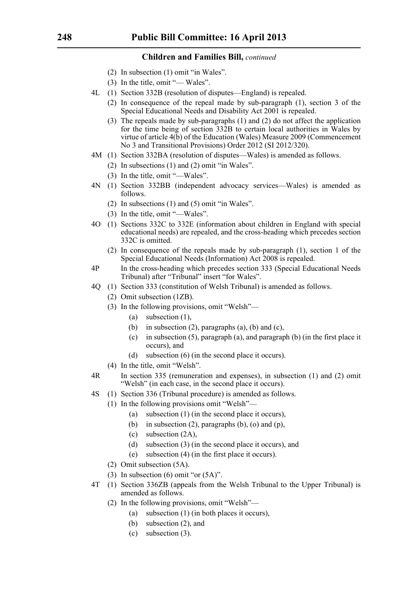- (2) In subsection (1) omit "in Wales".
- (3) In the title, omit "— Wales".
- 4L (1) Section 332B (resolution of disputes—England) is repealed.
	- (2) In consequence of the repeal made by sub-paragraph (1), section 3 of the Special Educational Needs and Disability Act 2001 is repealed.
	- (3) The repeals made by sub-paragraphs (1) and (2) do not affect the application for the time being of section 332B to certain local authorities in Wales by virtue of article 4(b) of the Education (Wales) Measure 2009 (Commencement No 3 and Transitional Provisions) Order 2012 (SI 2012/320).
- 4M (1) Section 332BA (resolution of disputes—Wales) is amended as follows.
	- (2) In subsections (1) and (2) omit "in Wales".
	- (3) In the title, omit "—Wales".
- 4N (1) Section 332BB (independent advocacy services—Wales) is amended as follows.
	- (2) In subsections (1) and (5) omit "in Wales".
	- (3) In the title, omit "—Wales".
- 4O (1) Sections 332C to 332E (information about children in England with special educational needs) are repealed, and the cross-heading which precedes section 332C is omitted.
	- (2) In consequence of the repeals made by sub-paragraph (1), section 1 of the Special Educational Needs (Information) Act 2008 is repealed.
- 4P In the cross-heading which precedes section 333 (Special Educational Needs Tribunal) after "Tribunal" insert "for Wales".
- 4Q (1) Section 333 (constitution of Welsh Tribunal) is amended as follows.
	- (2) Omit subsection (1ZB).
	- (3) In the following provisions, omit "Welsh"—
		- (a) subsection (1),
		- (b) in subsection  $(2)$ , paragraphs  $(a)$ ,  $(b)$  and  $(c)$ ,
		- (c) in subsection (5), paragraph (a), and paragraph (b) (in the first place it occurs), and
		- (d) subsection (6) (in the second place it occurs).
	- (4) In the title, omit "Welsh".
- 4R In section 335 (remuneration and expenses), in subsection (1) and (2) omit "Welsh" (in each case, in the second place it occurs).
- 4S (1) Section 336 (Tribunal procedure) is amended as follows.
	- (1) In the following provisions omit "Welsh"—
		- (a) subsection (1) (in the second place it occurs),
		- (b) in subsection  $(2)$ , paragraphs  $(b)$ ,  $(o)$  and  $(p)$ ,
		- (c) subsection (2A),
		- (d) subsection (3) (in the second place it occurs), and
		- (e) subsection (4) (in the first place it occurs).
		- (2) Omit subsection (5A).
		- (3) In subsection (6) omit "or (5A)".
- 4T (1) Section 336ZB (appeals from the Welsh Tribunal to the Upper Tribunal) is amended as follows.
	- (2) In the following provisions, omit "Welsh"—
		- (a) subsection (1) (in both places it occurs),
		- (b) subsection (2), and
		- (c) subsection (3).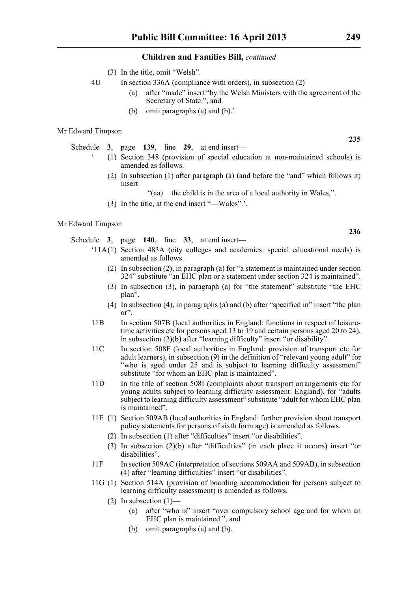- (3) In the title, omit "Welsh".
- 4U In section 336A (compliance with orders), in subsection (2)—
	- (a) after "made" insert "by the Welsh Ministers with the agreement of the Secretary of State.", and
	- (b) omit paragraphs (a) and (b).'.

#### Mr Edward Timpson

Schedule **3**, page **139**, line **29**, at end insert—

- ' (1) Section 348 (provision of special education at non-maintained schools) is amended as follows.
	- (2) In subsection (1) after paragraph (a) (and before the "and" which follows it) insert—
		- "(aa) the child is in the area of a local authority in Wales,".
	- (3) In the title, at the end insert "—Wales".'.

#### Mr Edward Timpson

Schedule **3**, page **140**, line **33**, at end insert—

- '11A(1) Section 483A (city colleges and academies: special educational needs) is amended as follows.
	- (2) In subsection (2), in paragraph (a) for "a statement is maintained under section 324" substitute "an EHC plan or a statement under section 324 is maintained".
	- (3) In subsection (3), in paragraph (a) for "the statement" substitute "the EHC plan".
	- (4) In subsection (4), in paragraphs (a) and (b) after "specified in" insert "the plan or".
- 11B In section 507B (local authorities in England: functions in respect of leisuretime activities etc for persons aged 13 to 19 and certain persons aged 20 to 24), in subsection (2)(b) after "learning difficulty" insert "or disability".
- 11C In section 508F (local authorities in England: provision of transport etc for adult learners), in subsection (9) in the definition of "relevant young adult" for "who is aged under 25 and is subject to learning difficulty assessment" substitute "for whom an EHC plan is maintained".
- 11D In the title of section 508I (complaints about transport arrangements etc for young adults subject to learning difficulty assessment: England), for "adults subject to learning difficulty assessment" substitute "adult for whom EHC plan is maintained".
- 11E (1) Section 509AB (local authorities in England: further provision about transport policy statements for persons of sixth form age) is amended as follows.
	- (2) In subsection (1) after "difficulties" insert "or disabilities".
	- (3) In subsection (2)(b) after "difficulties" (in each place it occurs) insert "or disabilities".
- 11F In section 509AC (interpretation of sections 509AA and 509AB), in subsection (4) after "learning difficulties" insert "or disabilities".
- 11G (1) Section 514A (provision of boarding accommodation for persons subject to learning difficulty assessment) is amended as follows.
	- (2) In subsection  $(1)$ 
		- (a) after "who is" insert "over compulsory school age and for whom an EHC plan is maintained.", and
		- (b) omit paragraphs (a) and (b).

**235**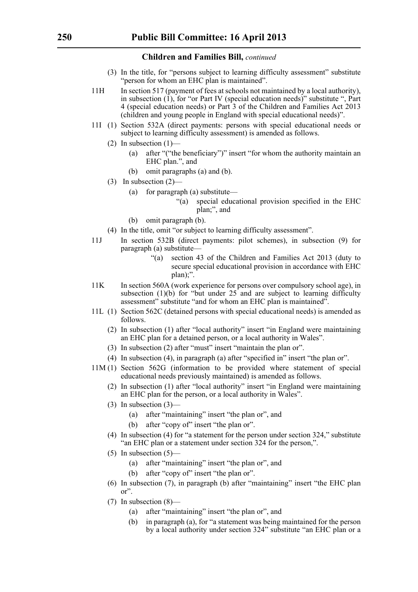- (3) In the title, for "persons subject to learning difficulty assessment" substitute "person for whom an EHC plan is maintained".
- 11H In section 517 (payment of fees at schools not maintained by a local authority), in subsection  $(1)$ , for "or Part IV (special education needs)" substitute ", Part 4 (special education needs) or Part 3 of the Children and Families Act 2013 (children and young people in England with special educational needs)".
- 11I (1) Section 532A (direct payments: persons with special educational needs or subject to learning difficulty assessment) is amended as follows.
	- (2) In subsection  $(1)$ 
		- (a) after "("the beneficiary")" insert "for whom the authority maintain an EHC plan.", and
		- (b) omit paragraphs (a) and (b).
	- (3) In subsection (2)—
		- (a) for paragraph (a) substitute—
			- "(a) special educational provision specified in the EHC plan;", and
		- (b) omit paragraph (b).
	- (4) In the title, omit "or subject to learning difficulty assessment".
- 11J In section 532B (direct payments: pilot schemes), in subsection (9) for paragraph (a) substitute—
	- "(a) section 43 of the Children and Families Act 2013 (duty to secure special educational provision in accordance with EHC plan);".
- 11K In section 560A (work experience for persons over compulsory school age), in subsection  $(1)(b)$  for "but under  $25$  and are subject to learning difficulty assessment" substitute "and for whom an EHC plan is maintained".
- 11L (1) Section 562C (detained persons with special educational needs) is amended as follows.
	- (2) In subsection (1) after "local authority" insert "in England were maintaining an EHC plan for a detained person, or a local authority in Wales".
	- (3) In subsection (2) after "must" insert "maintain the plan or".
	- (4) In subsection (4), in paragraph (a) after "specified in" insert "the plan or".
- 11M (1) Section 562G (information to be provided where statement of special educational needs previously maintained) is amended as follows.
	- (2) In subsection (1) after "local authority" insert "in England were maintaining an EHC plan for the person, or a local authority in Wales".
	- (3) In subsection (3)—
		- (a) after "maintaining" insert "the plan or", and
		- (b) after "copy of" insert "the plan or".
	- (4) In subsection (4) for "a statement for the person under section 324," substitute "an EHC plan or a statement under section 324 for the person,".
	- $(5)$  In subsection  $(5)$ 
		- (a) after "maintaining" insert "the plan or", and
		- (b) after "copy of" insert "the plan or".
	- (6) In subsection (7), in paragraph (b) after "maintaining" insert "the EHC plan or".
	- (7) In subsection (8)—
		- (a) after "maintaining" insert "the plan or", and
		- (b) in paragraph (a), for "a statement was being maintained for the person by a local authority under section 324" substitute "an EHC plan or a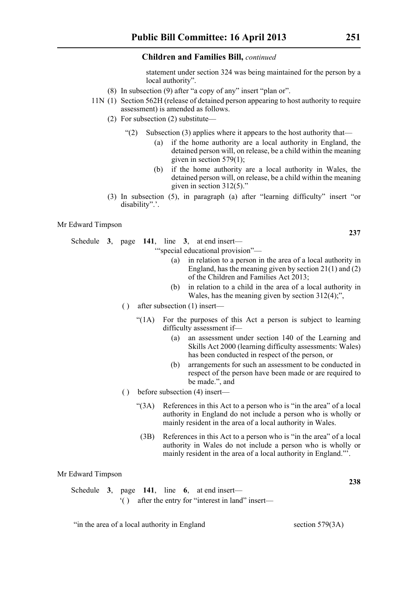statement under section 324 was being maintained for the person by a local authority".

- (8) In subsection (9) after "a copy of any" insert "plan or".
- 11N (1) Section 562H (release of detained person appearing to host authority to require assessment) is amended as follows.
	- (2) For subsection (2) substitute—
		- "(2) Subsection (3) applies where it appears to the host authority that—
			- (a) if the home authority are a local authority in England, the detained person will, on release, be a child within the meaning given in section  $579(1)$ ;
			- (b) if the home authority are a local authority in Wales, the detained person will, on release, be a child within the meaning given in section 312(5)."
	- (3) In subsection (5), in paragraph (a) after "learning difficulty" insert "or disability".'.

Mr Edward Timpson

Schedule **3**, page **141**, line **3**, at end insert—

'"special educational provision"—

- (a) in relation to a person in the area of a local authority in England, has the meaning given by section 21(1) and (2) of the Children and Families Act 2013;
- (b) in relation to a child in the area of a local authority in Wales, has the meaning given by section 312(4);",
- ( ) after subsection (1) insert—
	- "(1A) For the purposes of this Act a person is subject to learning difficulty assessment if—
		- (a) an assessment under section 140 of the Learning and Skills Act 2000 (learning difficulty assessments: Wales) has been conducted in respect of the person, or
		- (b) arrangements for such an assessment to be conducted in respect of the person have been made or are required to be made.", and
- ( ) before subsection (4) insert—
	- "(3A) References in this Act to a person who is "in the area" of a local authority in England do not include a person who is wholly or mainly resident in the area of a local authority in Wales.
	- (3B) References in this Act to a person who is "in the area" of a local authority in Wales do not include a person who is wholly or mainly resident in the area of a local authority in England."'.

Mr Edward Timpson

|  |  | Schedule 3, page 141, line 6, at end insert—      |
|--|--|---------------------------------------------------|
|  |  | () after the entry for "interest in land" insert— |

"in the area of a local authority in England section 579(3A)

**238**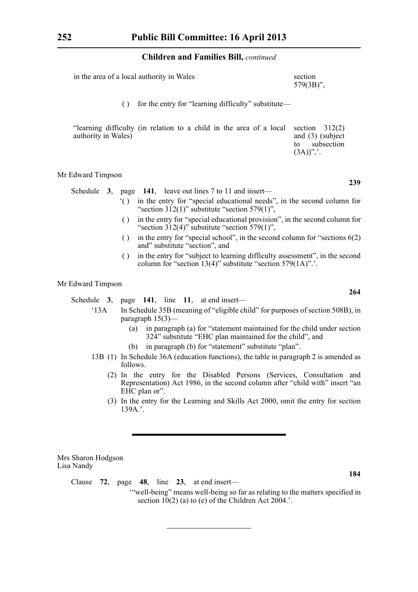| in the area of a local authority in Wales | section<br>$579(3B)$ ", |
|-------------------------------------------|-------------------------|
|                                           |                         |

( ) for the entry for "learning difficulty" substitute—

| "learning difficulty (in relation to a child in the area of a local section $312(2)$ ) |                          |
|----------------------------------------------------------------------------------------|--------------------------|
| authority in Wales)                                                                    | and $(3)$ (subject       |
|                                                                                        | subsection<br>to ⊤       |
|                                                                                        | $(3A))^{\prime\prime}$ . |

#### Mr Edward Timpson

|  |  |  |  | Schedule $3$ , page 141, leave out lines 7 to 11 and insert— |
|--|--|--|--|--------------------------------------------------------------|
|--|--|--|--|--------------------------------------------------------------|

- '( ) in the entry for "special educational needs", in the second column for "section  $312(1)$ " substitute "section  $579(1)$ ",
- ( ) in the entry for "special educational provision", in the second column for "section  $312(4)$ " substitute "section  $579(1)$ ",
- ( ) in the entry for "special school", in the second column for "sections  $6(2)$ and" substitute "section", and
- ( ) in the entry for "subject to learning difficulty assessment", in the second column for "section 13(4)" substitute "section 579(1A)".'.

### Mr Edward Timpson

Schedule **3**, page **141**, line **11**, at end insert—

- '13A In Schedule 35B (meaning of "eligible child" for purposes of section 508B), in paragraph 15(3)—
	- (a) in paragraph (a) for "statement maintained for the child under section 324" substitute "EHC plan maintained for the child", and
	- (b) in paragraph (b) for "statement" substitute "plan".
- 13B (1) In Schedule 36A (education functions), the table in paragraph 2 is amended as follows.
	- (2) In the entry for the Disabled Persons (Services, Consultation and Representation) Act 1986, in the second column after "child with" insert "an EHC plan or".
	- (3) In the entry for the Learning and Skills Act 2000, omit the entry for section 139A.'.

Mrs Sharon Hodgson Lisa Nandy

Clause **72**, page **48**, line **23**, at end insert—

'"well-being" means well-being so far as relating to the matters specified in section  $10(2)$  (a) to (e) of the Children Act 2004.'.

**239**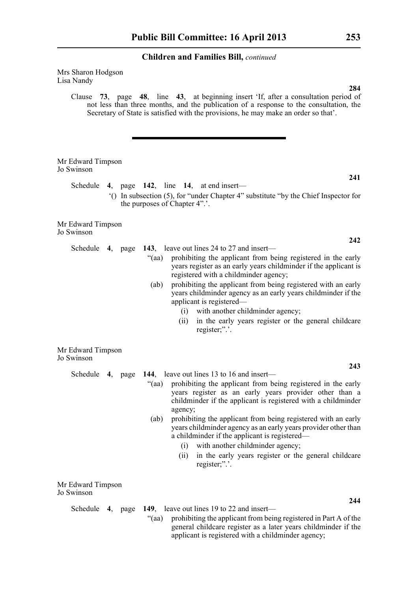Mrs Sharon Hodgson Lisa Nandy

> Clause **73**, page **48**, line **43**, at beginning insert 'If, after a consultation period of not less than three months, and the publication of a response to the consultation, the Secretary of State is satisfied with the provisions, he may make an order so that'.

| Mr Edward Timpson<br>Jo Swinson                        |         |                               |                        |                                                                                                                                                                                                                                                                                                                                                                                                                                                                                          |     |
|--------------------------------------------------------|---------|-------------------------------|------------------------|------------------------------------------------------------------------------------------------------------------------------------------------------------------------------------------------------------------------------------------------------------------------------------------------------------------------------------------------------------------------------------------------------------------------------------------------------------------------------------------|-----|
| Schedule                                               |         |                               |                        | 4, page $142$ , line 14, at end insert—                                                                                                                                                                                                                                                                                                                                                                                                                                                  | 241 |
|                                                        |         | the purposes of Chapter 4".'. |                        | "() In subsection (5), for "under Chapter 4" substitute "by the Chief Inspector for                                                                                                                                                                                                                                                                                                                                                                                                      |     |
| Mr Edward Timpson<br>Jo Swinson                        |         |                               |                        |                                                                                                                                                                                                                                                                                                                                                                                                                                                                                          |     |
| Schedule 4, page                                       |         |                               |                        | 143, leave out lines 24 to 27 and insert—                                                                                                                                                                                                                                                                                                                                                                                                                                                | 242 |
|                                                        |         | "(aa)                         |                        | prohibiting the applicant from being registered in the early<br>years register as an early years childminder if the applicant is<br>registered with a childminder agency;                                                                                                                                                                                                                                                                                                                |     |
|                                                        |         | (ab)                          |                        | prohibiting the applicant from being registered with an early<br>years childminder agency as an early years childminder if the<br>applicant is registered-                                                                                                                                                                                                                                                                                                                               |     |
|                                                        |         |                               |                        | (i) with another childminder agency;                                                                                                                                                                                                                                                                                                                                                                                                                                                     |     |
|                                                        |         |                               | (ii)                   | in the early years register or the general childcare<br>register;".'.                                                                                                                                                                                                                                                                                                                                                                                                                    |     |
| Mr Edward Timpson<br>Jo Swinson                        |         |                               |                        |                                                                                                                                                                                                                                                                                                                                                                                                                                                                                          |     |
| Schedule                                               |         |                               |                        | 144, leave out lines 13 to 16 and insert—                                                                                                                                                                                                                                                                                                                                                                                                                                                | 243 |
|                                                        | 4, page | "(aa)<br>(ab)                 | agency;<br>(i)<br>(ii) | prohibiting the applicant from being registered in the early<br>years register as an early years provider other than a<br>childminder if the applicant is registered with a childminder<br>prohibiting the applicant from being registered with an early<br>years childminder agency as an early years provider other than<br>a childminder if the applicant is registered—<br>with another childminder agency;<br>in the early years register or the general childcare<br>register;".'. |     |
| $\mathbf{M}$ $\mathbf{F1}$ $\mathbf{1}$ $\mathbf{T}^*$ |         |                               |                        |                                                                                                                                                                                                                                                                                                                                                                                                                                                                                          |     |

Mr Edward Timpson Jo Swinson

Schedule **4**, page **149**, leave out lines 19 to 22 and insert—

"(aa) prohibiting the applicant from being registered in Part A of the general childcare register as a later years childminder if the applicant is registered with a childminder agency;

**284**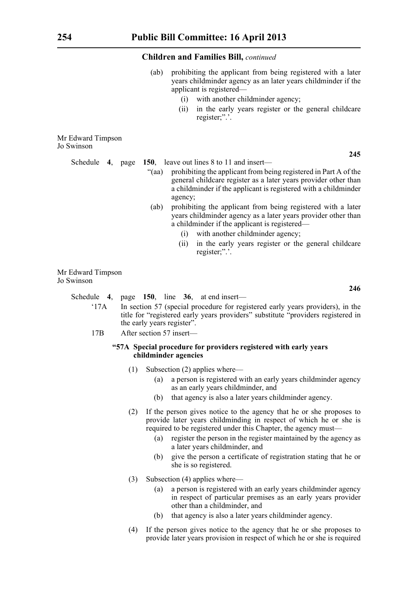- (ab) prohibiting the applicant from being registered with a later years childminder agency as an later years childminder if the applicant is registered—
	- (i) with another childminder agency;
	- (ii) in the early years register or the general childcare register;".'.

Mr Edward Timpson Jo Swinson

Schedule **4**, page **150**, leave out lines 8 to 11 and insert—

- "(aa) prohibiting the applicant from being registered in Part A of the general childcare register as a later years provider other than a childminder if the applicant is registered with a childminder agency;
- (ab) prohibiting the applicant from being registered with a later years childminder agency as a later years provider other than a childminder if the applicant is registered—
	- (i) with another childminder agency;
	- (ii) in the early years register or the general childcare register;".'.

Mr Edward Timpson Jo Swinson

Schedule **4**, page **150**, line **36**, at end insert—

- '17A In section 57 (special procedure for registered early years providers), in the title for "registered early years providers" substitute "providers registered in the early years register".
- 17B After section 57 insert—

#### **"57A Special procedure for providers registered with early years childminder agencies**

- (1) Subsection (2) applies where—
	- (a) a person is registered with an early years childminder agency as an early years childminder, and
	- (b) that agency is also a later years childminder agency.
- (2) If the person gives notice to the agency that he or she proposes to provide later years childminding in respect of which he or she is required to be registered under this Chapter, the agency must—
	- (a) register the person in the register maintained by the agency as a later years childminder, and
	- (b) give the person a certificate of registration stating that he or she is so registered.
- (3) Subsection (4) applies where—
	- (a) a person is registered with an early years childminder agency in respect of particular premises as an early years provider other than a childminder, and
	- (b) that agency is also a later years childminder agency.
- (4) If the person gives notice to the agency that he or she proposes to provide later years provision in respect of which he or she is required

**246**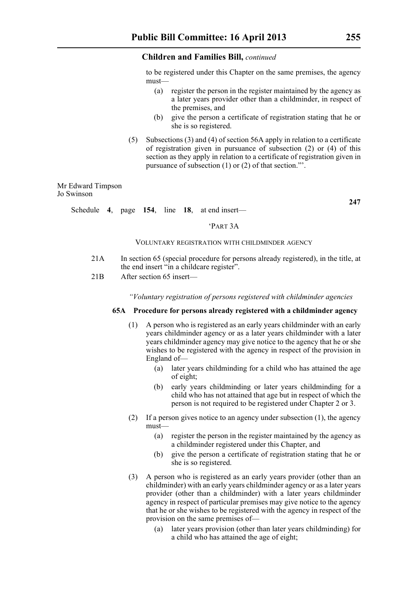to be registered under this Chapter on the same premises, the agency must—

- (a) register the person in the register maintained by the agency as a later years provider other than a childminder, in respect of the premises, and
- (b) give the person a certificate of registration stating that he or she is so registered.
- (5) Subsections (3) and (4) of section 56A apply in relation to a certificate of registration given in pursuance of subsection (2) or (4) of this section as they apply in relation to a certificate of registration given in pursuance of subsection (1) or (2) of that section."'.

Mr Edward Timpson Jo Swinson

**247**

Schedule **4**, page **154**, line **18**, at end insert—

#### 'PART 3A

#### VOLUNTARY REGISTRATION WITH CHILDMINDER AGENCY

- 21A In section 65 (special procedure for persons already registered), in the title, at the end insert "in a childcare register".
- 21B After section 65 insert—

*"Voluntary registration of persons registered with childminder agencies*

#### **65A Procedure for persons already registered with a childminder agency**

- (1) A person who is registered as an early years childminder with an early years childminder agency or as a later years childminder with a later years childminder agency may give notice to the agency that he or she wishes to be registered with the agency in respect of the provision in England of—
	- (a) later years childminding for a child who has attained the age of eight;
	- (b) early years childminding or later years childminding for a child who has not attained that age but in respect of which the person is not required to be registered under Chapter 2 or 3.
- (2) If a person gives notice to an agency under subsection (1), the agency must—
	- (a) register the person in the register maintained by the agency as a childminder registered under this Chapter, and
	- (b) give the person a certificate of registration stating that he or she is so registered.
- (3) A person who is registered as an early years provider (other than an childminder) with an early years childminder agency or as a later years provider (other than a childminder) with a later years childminder agency in respect of particular premises may give notice to the agency that he or she wishes to be registered with the agency in respect of the provision on the same premises of—
	- (a) later years provision (other than later years childminding) for a child who has attained the age of eight;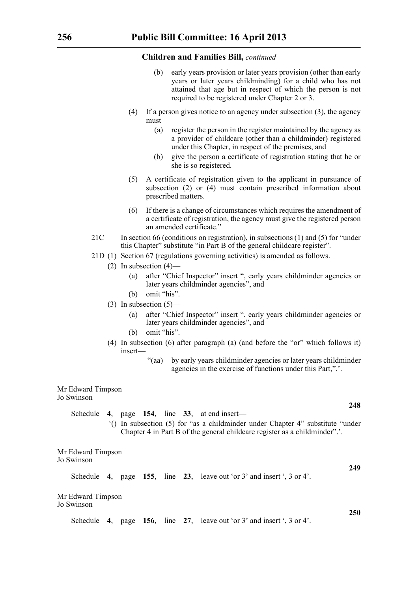- early years provision or later years provision (other than early years or later years childminding) for a child who has not attained that age but in respect of which the person is not required to be registered under Chapter 2 or 3.
- (4) If a person gives notice to an agency under subsection (3), the agency must—
	- (a) register the person in the register maintained by the agency as a provider of childcare (other than a childminder) registered under this Chapter, in respect of the premises, and
	- (b) give the person a certificate of registration stating that he or she is so registered.
- (5) A certificate of registration given to the applicant in pursuance of subsection (2) or (4) must contain prescribed information about prescribed matters.
- (6) If there is a change of circumstances which requires the amendment of a certificate of registration, the agency must give the registered person an amended certificate."
- 21C In section 66 (conditions on registration), in subsections (1) and (5) for "under this Chapter" substitute "in Part B of the general childcare register".
- 21D (1) Section 67 (regulations governing activities) is amended as follows.
	- (2) In subsection  $(4)$ 
		- (a) after "Chief Inspector" insert ", early years childminder agencies or later years childminder agencies", and
		- (b) omit "his".
	- (3) In subsection  $(5)$ 
		- (a) after "Chief Inspector" insert ", early years childminder agencies or later years childminder agencies", and
		- (b) omit "his".
	- (4) In subsection (6) after paragraph (a) (and before the "or" which follows it) insert—
		- "(aa) by early years childminder agencies or later years childminder agencies in the exercise of functions under this Part,".'.

Mr Edward Timpson Jo Swinson

> Schedule **4**, page **154**, line **33**, at end insert— '() In subsection (5) for "as a childminder under Chapter 4" substitute "under

Chapter 4 in Part B of the general childcare register as a childminder".'.

Mr Edward Timpson Jo Swinson

Schedule **4**, page **155**, line **23**, leave out 'or 3' and insert ', 3 or 4'.

Mr Edward Timpson Jo Swinson

Schedule **4**, page **156**, line **27**, leave out 'or 3' and insert ', 3 or 4'.

**248**

**249**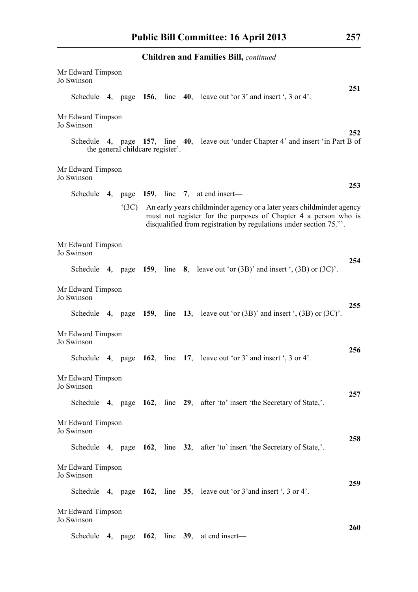| <b>Children and Families Bill, continued</b> |                                                                                                                                                                                                                       |                                  |  |  |  |                                                                                         |     |  |  |
|----------------------------------------------|-----------------------------------------------------------------------------------------------------------------------------------------------------------------------------------------------------------------------|----------------------------------|--|--|--|-----------------------------------------------------------------------------------------|-----|--|--|
| Mr Edward Timpson<br>Jo Swinson              |                                                                                                                                                                                                                       |                                  |  |  |  |                                                                                         | 251 |  |  |
|                                              |                                                                                                                                                                                                                       |                                  |  |  |  | Schedule 4, page 156, line 40, leave out 'or $3'$ and insert ', $3$ or $4'$ .           |     |  |  |
| Mr Edward Timpson<br>Jo Swinson              |                                                                                                                                                                                                                       |                                  |  |  |  |                                                                                         | 252 |  |  |
|                                              |                                                                                                                                                                                                                       | the general childcare register'. |  |  |  | Schedule 4, page 157, line 40, leave out 'under Chapter 4' and insert 'in Part B of     |     |  |  |
| Mr Edward Timpson<br>Jo Swinson              |                                                                                                                                                                                                                       |                                  |  |  |  |                                                                                         |     |  |  |
|                                              |                                                                                                                                                                                                                       |                                  |  |  |  | Schedule 4, page $159$ , line 7, at end insert—                                         | 253 |  |  |
|                                              | (3C)<br>An early years childminder agency or a later years childminder agency<br>must not register for the purposes of Chapter 4 a person who is<br>disqualified from registration by regulations under section 75.". |                                  |  |  |  |                                                                                         |     |  |  |
| Mr Edward Timpson<br>Jo Swinson              |                                                                                                                                                                                                                       |                                  |  |  |  |                                                                                         | 254 |  |  |
|                                              |                                                                                                                                                                                                                       |                                  |  |  |  | Schedule 4, page 159, line 8, leave out 'or $(3B)$ ' and insert ', $(3B)$ or $(3C)$ '.  |     |  |  |
| Mr Edward Timpson<br>Jo Swinson              |                                                                                                                                                                                                                       |                                  |  |  |  |                                                                                         |     |  |  |
|                                              |                                                                                                                                                                                                                       |                                  |  |  |  | Schedule 4, page 159, line 13, leave out 'or $(3B)$ ' and insert ', $(3B)$ or $(3C)$ '. | 255 |  |  |
| Mr Edward Timpson<br>Jo Swinson              |                                                                                                                                                                                                                       |                                  |  |  |  |                                                                                         | 256 |  |  |
|                                              |                                                                                                                                                                                                                       |                                  |  |  |  | Schedule 4, page $162$ , line 17, leave out 'or 3' and insert ', 3 or 4'.               |     |  |  |
| Mr Edward Timpson<br>Jo Swinson              |                                                                                                                                                                                                                       |                                  |  |  |  |                                                                                         |     |  |  |
|                                              |                                                                                                                                                                                                                       |                                  |  |  |  | Schedule 4, page 162, line 29, after 'to' insert 'the Secretary of State,'.             | 257 |  |  |
| Mr Edward Timpson<br>Jo Swinson              |                                                                                                                                                                                                                       |                                  |  |  |  |                                                                                         |     |  |  |
|                                              |                                                                                                                                                                                                                       |                                  |  |  |  | Schedule 4, page 162, line 32, after 'to' insert 'the Secretary of State,'.             | 258 |  |  |
| Mr Edward Timpson<br>Jo Swinson              |                                                                                                                                                                                                                       |                                  |  |  |  |                                                                                         |     |  |  |
|                                              |                                                                                                                                                                                                                       |                                  |  |  |  | Schedule 4, page 162, line 35, leave out 'or 3' and insert ', 3 or 4'.                  | 259 |  |  |
| Mr Edward Timpson<br>Jo Swinson              |                                                                                                                                                                                                                       |                                  |  |  |  |                                                                                         |     |  |  |
|                                              |                                                                                                                                                                                                                       |                                  |  |  |  | Schedule 4, page 162, line 39, at end insert—                                           | 260 |  |  |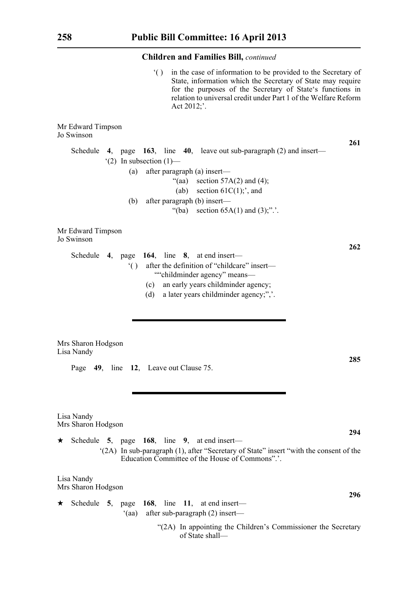'( ) in the case of information to be provided to the Secretary of State, information which the Secretary of State may require for the purposes of the Secretary of State's functions in relation to universal credit under Part 1 of the Welfare Reform Act 2012;'.

Mr Edward Timpson Jo Swinson **261** Schedule **4**, page **163**, line **40**, leave out sub-paragraph (2) and insert—  $'(2)$  In subsection  $(1)$ — (a) after paragraph (a) insert— "(aa) section  $57A(2)$  and  $(4)$ ; (ab) section  $61C(1)$ ;', and (b) after paragraph (b) insert— "(ba) section  $65A(1)$  and  $(3)$ ;".'. Mr Edward Timpson Jo Swinson **262** Schedule **4**, page **164**, line **8**, at end insert— '( ) after the definition of "childcare" insert— ""childminder agency" means— (c) an early years childminder agency; (d) a later years childminder agency;",'. Mrs Sharon Hodgson Lisa Nandy **285** Page **49**, line **12**, Leave out Clause 75. Lisa Nandy Mrs Sharon Hodgson **294**

 $\star$  Schedule 5, page 168, line 9, at end insert— '(2A) In sub-paragraph (1), after "Secretary of State" insert "with the consent of the Education Committee of the House of Commons".'.

Lisa Nandy Mrs Sharon Hodgson

 $\star$  Schedule 5, page 168, line 11, at end insert— '(aa) after sub-paragraph (2) insert—

> "(2A) In appointing the Children's Commissioner the Secretary of State shall—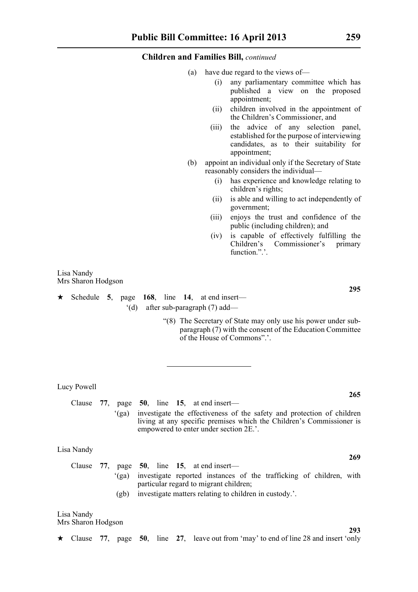- (a) have due regard to the views of—
	- (i) any parliamentary committee which has published a view on the proposed appointment;
	- (ii) children involved in the appointment of the Children's Commissioner, and
	- (iii) the advice of any selection panel, established for the purpose of interviewing candidates, as to their suitability for appointment;
- (b) appoint an individual only if the Secretary of State reasonably considers the individual—
	- (i) has experience and knowledge relating to children's rights;
	- (ii) is able and willing to act independently of government;
	- (iii) enjoys the trust and confidence of the public (including children); and
	- (iv) is capable of effectively fulfilling the Children's Commissioner's primary function.".'.

Lisa Nandy Mrs Sharon Hodgson

 $\star$  Schedule 5, page 168, line 14, at end insert— '(d) after sub-paragraph (7) add—

> "(8) The Secretary of State may only use his power under subparagraph (7) with the consent of the Education Committee of the House of Commons".'.

Lucy Powell

Clause **77**, page **50**, line **15**, at end insert— '(ga) investigate the effectiveness of the safety and protection of children living at any specific premises which the Children's Commissioner is empowered to enter under section 2E.'.

Lisa Nandy

Clause **77**, page **50**, line **15**, at end insert— '(ga) investigate reported instances of the trafficking of children, with particular regard to migrant children; (gb) investigate matters relating to children in custody.'.

Lisa Nandy Mrs Sharon Hodgson

\* Clause **77**, page **50**, line **27**, leave out from 'may' to end of line 28 and insert 'only

**295**

**265**

**269**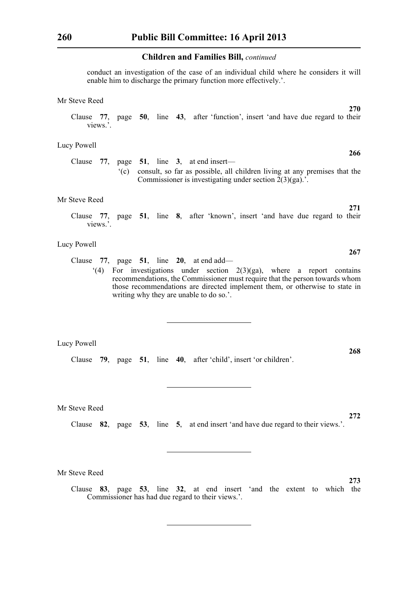conduct an investigation of the case of an individual child where he considers it will enable him to discharge the primary function more effectively.'.

#### Mr Steve Reed

Clause **77**, page **50**, line **43**, after 'function', insert 'and have due regard to their views.'.

#### Lucy Powell

Clause **77**, page **51**, line **3**, at end insert— '(c) consult, so far as possible, all children living at any premises that the Commissioner is investigating under section 2(3)(ga).'.

#### Mr Steve Reed

Clause **77**, page **51**, line **8**, after 'known', insert 'and have due regard to their views.'.

#### Lucy Powell

Clause **77**, page **51**, line **20**, at end add— '(4) For investigations under section  $2(3)(ga)$ , where a report contains recommendations, the Commissioner must require that the person towards whom those recommendations are directed implement them, or otherwise to state in writing why they are unable to do so.'.

#### Lucy Powell

Clause **79**, page **51**, line **40**, after 'child', insert 'or children'.

Mr Steve Reed

Clause **82**, page **53**, line **5**, at end insert 'and have due regard to their views.'.

Mr Steve Reed

Clause **83**, page **53**, line **32**, at end insert 'and the extent to which the Commissioner has had due regard to their views.'.

**267**

**271**

**270**

**266**

**268**

**273**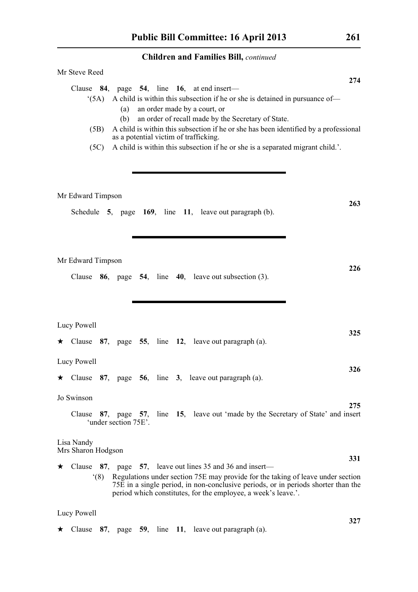|         | Mr Steve Reed                    |                      |  |                                                                                                                                                                                                                                                                                                                                                                                                                                           | 274 |
|---------|----------------------------------|----------------------|--|-------------------------------------------------------------------------------------------------------------------------------------------------------------------------------------------------------------------------------------------------------------------------------------------------------------------------------------------------------------------------------------------------------------------------------------------|-----|
|         | (5A)<br>(5B)<br>(5C)             | (a)<br>(b)           |  | Clause $84$ , page $54$ , line 16, at end insert—<br>A child is within this subsection if he or she is detained in pursuance of-<br>an order made by a court, or<br>an order of recall made by the Secretary of State.<br>A child is within this subsection if he or she has been identified by a professional<br>as a potential victim of trafficking.<br>A child is within this subsection if he or she is a separated migrant child.'. |     |
|         | Mr Edward Timpson                |                      |  | Schedule $5$ , page $169$ , line $11$ , leave out paragraph (b).                                                                                                                                                                                                                                                                                                                                                                          | 263 |
|         | Mr Edward Timpson                |                      |  | Clause $86$ , page $54$ , line $40$ , leave out subsection (3).                                                                                                                                                                                                                                                                                                                                                                           | 226 |
| $\star$ | Lucy Powell                      |                      |  | Clause 87, page 55, line 12, leave out paragraph (a).                                                                                                                                                                                                                                                                                                                                                                                     | 325 |
|         | Lucy Powell                      |                      |  | $\star$ Clause 87, page 56, line 3, leave out paragraph (a).                                                                                                                                                                                                                                                                                                                                                                              | 326 |
|         | Jo Swinson                       | 'under section 75E'. |  | Clause 87, page 57, line 15, leave out 'made by the Secretary of State' and insert                                                                                                                                                                                                                                                                                                                                                        | 275 |
|         | Lisa Nandy<br>Mrs Sharon Hodgson |                      |  |                                                                                                                                                                                                                                                                                                                                                                                                                                           |     |
| ★       | (8)                              |                      |  | Clause $87$ , page $57$ , leave out lines 35 and 36 and insert—<br>Regulations under section 75E may provide for the taking of leave under section<br>75E in a single period, in non-conclusive periods, or in periods shorter than the<br>period which constitutes, for the employee, a week's leave.'.                                                                                                                                  | 331 |
|         | Lucy Powell                      |                      |  |                                                                                                                                                                                                                                                                                                                                                                                                                                           |     |
| ★       |                                  |                      |  | Clause $87$ , page $59$ , line 11, leave out paragraph (a).                                                                                                                                                                                                                                                                                                                                                                               | 327 |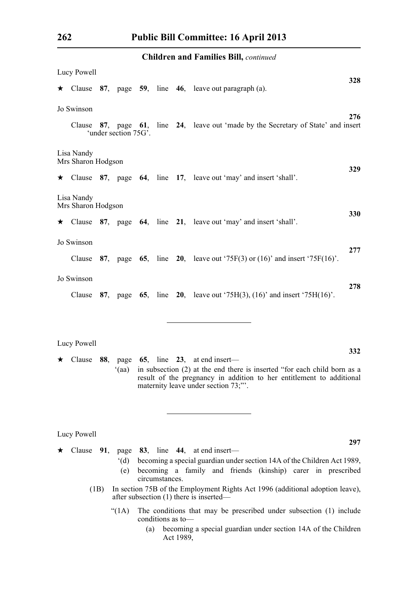|                                  | Lucy Powell                             |      |                       |  |                   |  |                                                                                                                                                                                                                           |     |  |
|----------------------------------|-----------------------------------------|------|-----------------------|--|-------------------|--|---------------------------------------------------------------------------------------------------------------------------------------------------------------------------------------------------------------------------|-----|--|
|                                  |                                         |      |                       |  |                   |  | $\star$ Clause 87, page 59, line 46, leave out paragraph (a).                                                                                                                                                             | 328 |  |
|                                  | Jo Swinson                              |      |                       |  |                   |  |                                                                                                                                                                                                                           |     |  |
|                                  |                                         |      | 'under section 75G'.  |  |                   |  | Clause 87, page 61, line 24, leave out 'made by the Secretary of State' and insert                                                                                                                                        | 276 |  |
|                                  | Lisa Nandy<br>Mrs Sharon Hodgson<br>329 |      |                       |  |                   |  |                                                                                                                                                                                                                           |     |  |
|                                  |                                         |      |                       |  |                   |  | $\star$ Clause 87, page 64, line 17, leave out 'may' and insert 'shall'.                                                                                                                                                  |     |  |
| Lisa Nandy<br>Mrs Sharon Hodgson |                                         |      |                       |  |                   |  |                                                                                                                                                                                                                           |     |  |
|                                  |                                         |      |                       |  |                   |  | $\star$ Clause 87, page 64, line 21, leave out 'may' and insert 'shall'.                                                                                                                                                  | 330 |  |
|                                  | Jo Swinson                              |      |                       |  |                   |  |                                                                                                                                                                                                                           | 277 |  |
|                                  | Clause                                  |      |                       |  |                   |  | <b>87</b> , page <b>65</b> , line <b>20</b> , leave out '75F(3) or $(16)$ ' and insert '75F(16)'.                                                                                                                         |     |  |
| Jo Swinson                       |                                         |      |                       |  |                   |  |                                                                                                                                                                                                                           |     |  |
|                                  | Clause                                  |      |                       |  |                   |  | 87, page 65, line 20, leave out $75H(3)$ , $(16)$ and insert $75H(16)$ .                                                                                                                                                  | 278 |  |
|                                  | Lucy Powell<br>$\star$ Clause           | 88,  | page<br>(aa)          |  |                   |  | 65, line $23$ , at end insert—<br>in subsection (2) at the end there is inserted "for each child born as a<br>result of the pregnancy in addition to her entitlement to additional<br>maternity leave under section 73;". | 332 |  |
|                                  | Lucy Powell                             |      |                       |  |                   |  |                                                                                                                                                                                                                           |     |  |
|                                  |                                         |      | $^{\circ}$ (d)<br>(e) |  | circumstances.    |  | Clause $91$ , page $83$ , line $44$ , at end insert—<br>becoming a special guardian under section 14A of the Children Act 1989,<br>becoming a family and friends (kinship) carer in prescribed                            | 297 |  |
|                                  |                                         | (1B) |                       |  |                   |  | In section 75B of the Employment Rights Act 1996 (additional adoption leave),<br>after subsection (1) there is inserted—                                                                                                  |     |  |
|                                  |                                         |      | (1A)                  |  | conditions as to- |  | The conditions that may be prescribed under subsection (1) include                                                                                                                                                        |     |  |

(a) becoming a special guardian under section 14A of the Children Act 1989,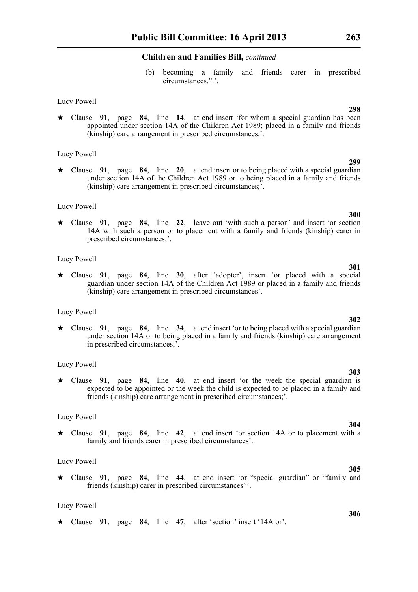(b) becoming a family and friends carer in prescribed circumstances.".'.

#### Lucy Powell

\* Clause **91**, page **84**, line **14**, at end insert 'for whom a special guardian has been appointed under section 14A of the Children Act 1989; placed in a family and friends (kinship) care arrangement in prescribed circumstances.'.

#### Lucy Powell

\* Clause **91**, page **84**, line **20**, at end insert or to being placed with a special guardian under section 14A of the Children Act 1989 or to being placed in a family and friends (kinship) care arrangement in prescribed circumstances;'.

#### Lucy Powell

\* Clause **91**, page **84**, line **22**, leave out 'with such a person' and insert 'or section 14A with such a person or to placement with a family and friends (kinship) carer in prescribed circumstances;'.

#### Lucy Powell

\* Clause **91**, page **84**, line **30**, after 'adopter', insert 'or placed with a special guardian under section 14A of the Children Act 1989 or placed in a family and friends (kinship) care arrangement in prescribed circumstances'.

#### Lucy Powell

\* Clause **91**, page **84**, line **34**, at end insert 'or to being placed with a special guardian under section 14A or to being placed in a family and friends (kinship) care arrangement in prescribed circumstances;'.

#### Lucy Powell

\* Clause **91**, page **84**, line **40**, at end insert 'or the week the special guardian is expected to be appointed or the week the child is expected to be placed in a family and friends (kinship) care arrangement in prescribed circumstances;'.

#### Lucy Powell

\* Clause **91**, page **84**, line **42**, at end insert 'or section 14A or to placement with a family and friends carer in prescribed circumstances'.

#### Lucy Powell

\* Clause **91**, page **84**, line **44**, at end insert 'or "special guardian" or "family and friends (kinship) carer in prescribed circumstances"'.

#### Lucy Powell

\* Clause **91**, page **84**, line **47**, after 'section' insert '14A or'.

#### **298**

**299**

## **300**

**301**

### **302**

## **303**

**304**

**306**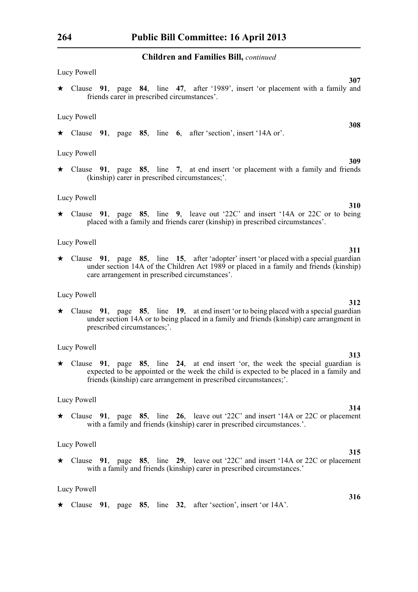Lucy Powell **307** \* Clause **91**, page **84**, line **47**, after '1989', insert 'or placement with a family and friends carer in prescribed circumstances'.

Lucy Powell

\* Clause **91**, page **85**, line **6**, after 'section', insert '14A or'.

Lucy Powell

\* Clause **91**, page **85**, line **7**, at end insert 'or placement with a family and friends (kinship) carer in prescribed circumstances;'.

#### Lucy Powell

\* Clause **91**, page **85**, line **9**, leave out '22C' and insert '14A or 22C or to being placed with a family and friends carer (kinship) in prescribed circumstances'.

#### Lucy Powell

\* Clause **91**, page **85**, line **15**, after 'adopter' insert 'or placed with a special guardian under section 14A of the Children Act 1989 or placed in a family and friends (kinship) care arrangement in prescribed circumstances'.

#### Lucy Powell

\* Clause **91**, page **85**, line **19**, at end insert 'or to being placed with a special guardian under section 14A or to being placed in a family and friends (kinship) care arrangment in prescribed circumstances;'.

#### Lucy Powell

\* Clause **91**, page **85**, line **24**, at end insert 'or, the week the special guardian is expected to be appointed or the week the child is expected to be placed in a family and friends (kinship) care arrangement in prescribed circumstances;'.

#### Lucy Powell

\* Clause **91**, page **85**, line **26**, leave out '22C' and insert '14A or 22C or placement with a family and friends (kinship) carer in prescribed circumstances.'.

#### Lucy Powell

\* Clause **91**, page **85**, line **29**, leave out '22C' and insert '14A or 22C or placement with a family and friends (kinship) carer in prescribed circumstances.'

#### Lucy Powell

\* Clause **91**, page **85**, line **32**, after 'section', insert 'or 14A'.

## **313**

#### **314**

## **309**

**310**

**311**

**308**

**312**

## **315**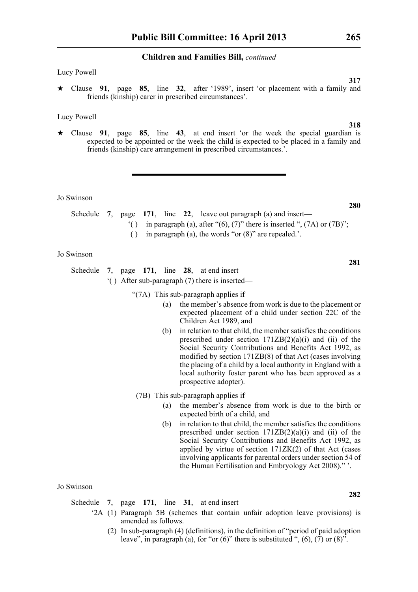#### Lucy Powell

\* Clause **91**, page **85**, line **32**, after '1989', insert 'or placement with a family and friends (kinship) carer in prescribed circumstances'.

#### Lucy Powell

\* Clause **91**, page **85**, line **43**, at end insert 'or the week the special guardian is expected to be appointed or the week the child is expected to be placed in a family and friends (kinship) care arrangement in prescribed circumstances.'.

Jo Swinson

- Schedule **7**, page **171**, line **22**, leave out paragraph (a) and insert—
	- $'($ ) in paragraph (a), after "(6), (7)" there is inserted ", (7A) or (7B)";
	- ( ) in paragraph (a), the words "or (8)" are repealed.'.

#### Jo Swinson

Schedule **7**, page **171**, line **28**, at end insert— '( ) After sub-paragraph (7) there is inserted—

- "(7A) This sub-paragraph applies if—
	- (a) the member's absence from work is due to the placement or expected placement of a child under section 22C of the Children Act 1989, and
	- (b) in relation to that child, the member satisfies the conditions prescribed under section  $171ZB(2)(a)(i)$  and (ii) of the Social Security Contributions and Benefits Act 1992, as modified by section 171ZB(8) of that Act (cases involving the placing of a child by a local authority in England with a local authority foster parent who has been approved as a prospective adopter).
- (7B) This sub-paragraph applies if—
	- (a) the member's absence from work is due to the birth or expected birth of a child, and
	- (b) in relation to that child, the member satisfies the conditions prescribed under section 171ZB(2)(a)(i) and (ii) of the Social Security Contributions and Benefits Act 1992, as applied by virtue of section 171ZK(2) of that Act (cases involving applicants for parental orders under section 54 of the Human Fertilisation and Embryology Act 2008)." '.

#### Jo Swinson

Schedule **7**, page **171**, line **31**, at end insert—

- '2A (1) Paragraph 5B (schemes that contain unfair adoption leave provisions) is amended as follows.
	- (2) In sub-paragraph (4) (definitions), in the definition of "period of paid adoption leave", in paragraph (a), for "or  $(6)$ " there is substituted ",  $(6)$ ,  $(7)$  or  $(8)$ ".

**318**

**317**

## **280**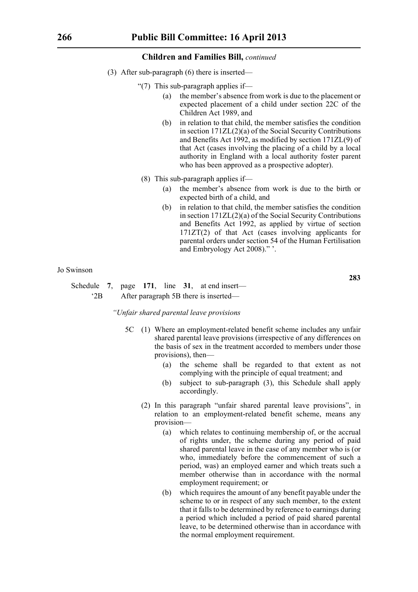- (3) After sub-paragraph (6) there is inserted—
	- "(7) This sub-paragraph applies if—
		- (a) the member's absence from work is due to the placement or expected placement of a child under section 22C of the Children Act 1989, and
		- (b) in relation to that child, the member satisfies the condition in section 171ZL(2)(a) of the Social Security Contributions and Benefits Act 1992, as modified by section 171ZL(9) of that Act (cases involving the placing of a child by a local authority in England with a local authority foster parent who has been approved as a prospective adopter).
	- (8) This sub-paragraph applies if—
		- (a) the member's absence from work is due to the birth or expected birth of a child, and
		- (b) in relation to that child, the member satisfies the condition in section 171ZL(2)(a) of the Social Security Contributions and Benefits Act 1992, as applied by virtue of section 171ZT(2) of that Act (cases involving applicants for parental orders under section 54 of the Human Fertilisation and Embryology Act 2008)." '.

#### Jo Swinson

Schedule **7**, page **171**, line **31**, at end insert— '2B After paragraph 5B there is inserted—

*"Unfair shared parental leave provisions*

- 5C (1) Where an employment-related benefit scheme includes any unfair shared parental leave provisions (irrespective of any differences on the basis of sex in the treatment accorded to members under those provisions), then—
	- (a) the scheme shall be regarded to that extent as not complying with the principle of equal treatment; and
	- (b) subject to sub-paragraph (3), this Schedule shall apply accordingly.
	- (2) In this paragraph "unfair shared parental leave provisions", in relation to an employment-related benefit scheme, means any provision—
		- (a) which relates to continuing membership of, or the accrual of rights under, the scheme during any period of paid shared parental leave in the case of any member who is (or who, immediately before the commencement of such a period, was) an employed earner and which treats such a member otherwise than in accordance with the normal employment requirement; or
		- (b) which requires the amount of any benefit payable under the scheme to or in respect of any such member, to the extent that it falls to be determined by reference to earnings during a period which included a period of paid shared parental leave, to be determined otherwise than in accordance with the normal employment requirement.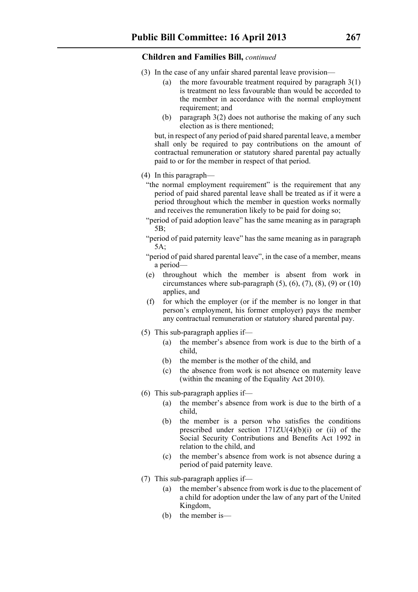- (3) In the case of any unfair shared parental leave provision—
	- (a) the more favourable treatment required by paragraph 3(1) is treatment no less favourable than would be accorded to the member in accordance with the normal employment requirement; and
	- (b) paragraph 3(2) does not authorise the making of any such election as is there mentioned;

but, in respect of any period of paid shared parental leave, a member shall only be required to pay contributions on the amount of contractual remuneration or statutory shared parental pay actually paid to or for the member in respect of that period.

- (4) In this paragraph—
	- "the normal employment requirement" is the requirement that any period of paid shared parental leave shall be treated as if it were a period throughout which the member in question works normally and receives the remuneration likely to be paid for doing so;
	- "period of paid adoption leave" has the same meaning as in paragraph 5B;
	- "period of paid paternity leave" has the same meaning as in paragraph 5A;
	- "period of paid shared parental leave", in the case of a member, means a period—
	- (e) throughout which the member is absent from work in circumstances where sub-paragraph  $(5)$ ,  $(6)$ ,  $(7)$ ,  $(8)$ ,  $(9)$  or  $(10)$ applies, and
	- (f) for which the employer (or if the member is no longer in that person's employment, his former employer) pays the member any contractual remuneration or statutory shared parental pay.
- (5) This sub-paragraph applies if—
	- (a) the member's absence from work is due to the birth of a child,
	- (b) the member is the mother of the child, and
	- (c) the absence from work is not absence on maternity leave (within the meaning of the Equality Act 2010).
- (6) This sub-paragraph applies if—
	- (a) the member's absence from work is due to the birth of a child,
	- (b) the member is a person who satisfies the conditions prescribed under section  $171ZU(4)(b)(i)$  or (ii) of the Social Security Contributions and Benefits Act 1992 in relation to the child, and
	- (c) the member's absence from work is not absence during a period of paid paternity leave.
- (7) This sub-paragraph applies if—
	- (a) the member's absence from work is due to the placement of a child for adoption under the law of any part of the United Kingdom,
	- (b) the member is—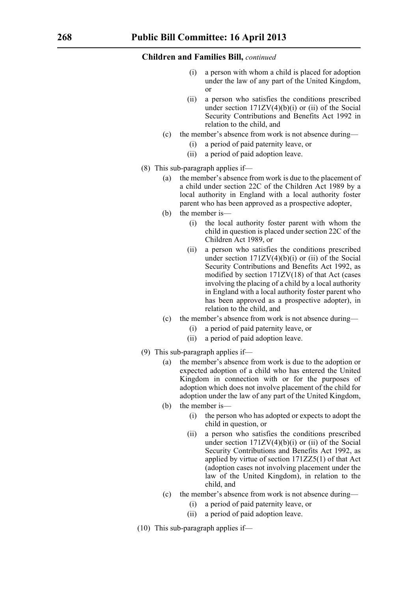- a person with whom a child is placed for adoption under the law of any part of the United Kingdom, or
- (ii) a person who satisfies the conditions prescribed under section  $171ZV(4)(b)(i)$  or (ii) of the Social Security Contributions and Benefits Act 1992 in relation to the child, and
- (c) the member's absence from work is not absence during—
	- (i) a period of paid paternity leave, or
	- (ii) a period of paid adoption leave.
- (8) This sub-paragraph applies if—
	- (a) the member's absence from work is due to the placement of a child under section 22C of the Children Act 1989 by a local authority in England with a local authority foster parent who has been approved as a prospective adopter,
	- (b) the member is—
		- (i) the local authority foster parent with whom the child in question is placed under section 22C of the Children Act 1989, or
		- (ii) a person who satisfies the conditions prescribed under section  $171ZV(4)(b)(i)$  or (ii) of the Social Security Contributions and Benefits Act 1992, as modified by section 171ZV(18) of that Act (cases involving the placing of a child by a local authority in England with a local authority foster parent who has been approved as a prospective adopter), in relation to the child, and
	- (c) the member's absence from work is not absence during—
		- (i) a period of paid paternity leave, or
		- (ii) a period of paid adoption leave.
- (9) This sub-paragraph applies if—
	- (a) the member's absence from work is due to the adoption or expected adoption of a child who has entered the United Kingdom in connection with or for the purposes of adoption which does not involve placement of the child for adoption under the law of any part of the United Kingdom,
	- (b) the member is—
		- (i) the person who has adopted or expects to adopt the child in question, or
		- (ii) a person who satisfies the conditions prescribed under section  $171ZV(4)(b)(i)$  or (ii) of the Social Security Contributions and Benefits Act 1992, as applied by virtue of section 171ZZ5(1) of that Act (adoption cases not involving placement under the law of the United Kingdom), in relation to the child, and
	- (c) the member's absence from work is not absence during—
		- (i) a period of paid paternity leave, or
		- (ii) a period of paid adoption leave.
- (10) This sub-paragraph applies if—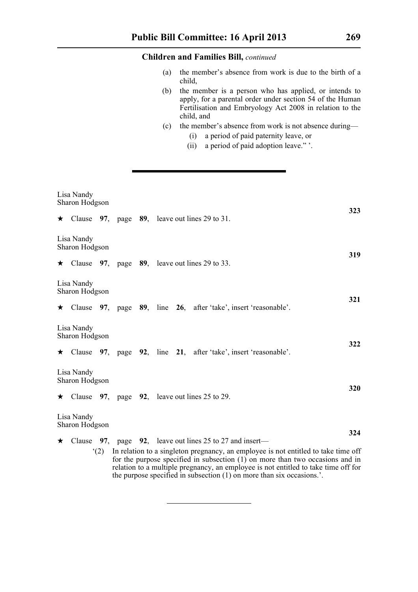- (a) the member's absence from work is due to the birth of a child,
- (b) the member is a person who has applied, or intends to apply, for a parental order under section 54 of the Human Fertilisation and Embryology Act 2008 in relation to the child, and
- (c) the member's absence from work is not absence during—
	- (i) a period of paid paternity leave, or
	- (ii) a period of paid adoption leave." '.

|                              | Lisa Nandy<br>Sharon Hodgson<br>323                                                                                                                                                                                                                                                                                                                                                                             |  |  |  |                                                                         |     |  |
|------------------------------|-----------------------------------------------------------------------------------------------------------------------------------------------------------------------------------------------------------------------------------------------------------------------------------------------------------------------------------------------------------------------------------------------------------------|--|--|--|-------------------------------------------------------------------------|-----|--|
|                              |                                                                                                                                                                                                                                                                                                                                                                                                                 |  |  |  | $\star$ Clause 97, page 89, leave out lines 29 to 31.                   |     |  |
|                              | Lisa Nandy<br>Sharon Hodgson                                                                                                                                                                                                                                                                                                                                                                                    |  |  |  |                                                                         |     |  |
|                              |                                                                                                                                                                                                                                                                                                                                                                                                                 |  |  |  | $\star$ Clause 97, page 89, leave out lines 29 to 33.                   | 319 |  |
|                              | Lisa Nandy<br>Sharon Hodgson                                                                                                                                                                                                                                                                                                                                                                                    |  |  |  |                                                                         |     |  |
|                              |                                                                                                                                                                                                                                                                                                                                                                                                                 |  |  |  | $\star$ Clause 97, page 89, line 26, after 'take', insert 'reasonable'. | 321 |  |
|                              | Lisa Nandy<br>Sharon Hodgson                                                                                                                                                                                                                                                                                                                                                                                    |  |  |  |                                                                         |     |  |
|                              |                                                                                                                                                                                                                                                                                                                                                                                                                 |  |  |  | $\star$ Clause 97, page 92, line 21, after 'take', insert 'reasonable'. | 322 |  |
|                              | Lisa Nandy<br>Sharon Hodgson                                                                                                                                                                                                                                                                                                                                                                                    |  |  |  |                                                                         |     |  |
|                              |                                                                                                                                                                                                                                                                                                                                                                                                                 |  |  |  | $\star$ Clause 97, page 92, leave out lines 25 to 29.                   | 320 |  |
| Lisa Nandy<br>Sharon Hodgson |                                                                                                                                                                                                                                                                                                                                                                                                                 |  |  |  |                                                                         |     |  |
|                              |                                                                                                                                                                                                                                                                                                                                                                                                                 |  |  |  |                                                                         | 324 |  |
|                              | $\star$ Clause 97, page 92, leave out lines 25 to 27 and insert—<br>In relation to a singleton pregnancy, an employee is not entitled to take time off<br>(2)<br>for the purpose specified in subsection $(1)$ on more than two occasions and in<br>relation to a multiple pregnancy, an employee is not entitled to take time off for<br>the purpose specified in subsection (1) on more than six occasions.'. |  |  |  |                                                                         |     |  |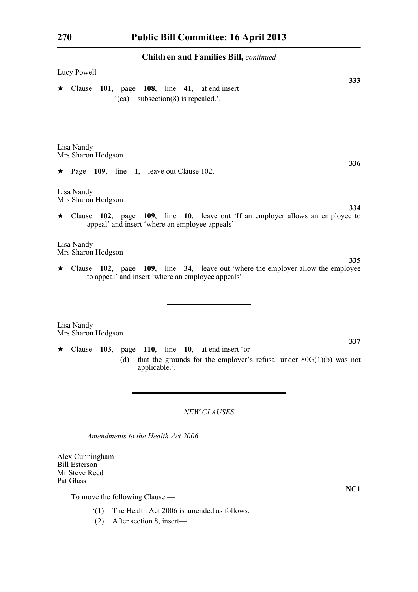| Lucy Powell                                                                                                                                                                                          |  |
|------------------------------------------------------------------------------------------------------------------------------------------------------------------------------------------------------|--|
| 333<br>$\star$ Clause 101, page 108, line 41, at end insert—<br>$(ca)$ subsection(8) is repealed.'.                                                                                                  |  |
| Lisa Nandy<br>Mrs Sharon Hodgson<br>336<br>$\star$ Page 109, line 1, leave out Clause 102.<br>Lisa Nandy                                                                                             |  |
| Mrs Sharon Hodgson<br>334<br>$\star$ Clause 102, page 109, line 10, leave out 'If an employer allows an employee to<br>appeal' and insert 'where an employee appeals'.                               |  |
| Lisa Nandy<br>Mrs Sharon Hodgson<br>335<br>$\star$ Clause 102, page 109, line 34, leave out 'where the employer allow the employee<br>to appeal' and insert 'where an employee appeals'.             |  |
| Lisa Nandy<br>Mrs Sharon Hodgson<br>337<br>$\star$ Clause 103, page 110, line 10, at end insert 'or<br>that the grounds for the employer's refusal under $80G(1)(b)$ was not<br>(d)<br>applicable.'. |  |

*NEW CLAUSES*

*Amendments to the Health Act 2006*

Alex Cunningham Bill Esterson Mr Steve Reed Pat Glass

To move the following Clause:—

- '(1) The Health Act 2006 is amended as follows.
- (2) After section 8, insert—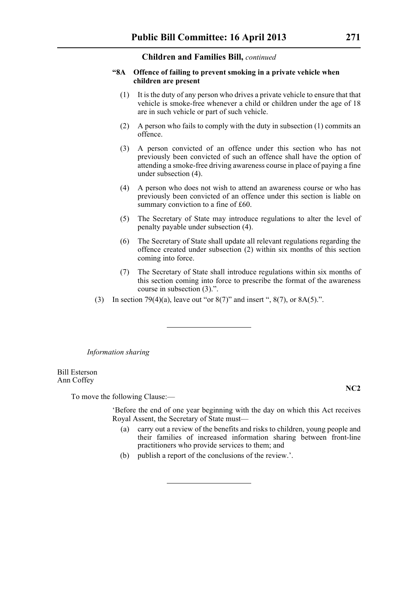### **"8A Offence of failing to prevent smoking in a private vehicle when children are present**

- (1) It is the duty of any person who drives a private vehicle to ensure that that vehicle is smoke-free whenever a child or children under the age of 18 are in such vehicle or part of such vehicle.
- (2) A person who fails to comply with the duty in subsection (1) commits an offence.
- (3) A person convicted of an offence under this section who has not previously been convicted of such an offence shall have the option of attending a smoke-free driving awareness course in place of paying a fine under subsection (4).
- (4) A person who does not wish to attend an awareness course or who has previously been convicted of an offence under this section is liable on summary conviction to a fine of £60.
- (5) The Secretary of State may introduce regulations to alter the level of penalty payable under subsection (4).
- (6) The Secretary of State shall update all relevant regulations regarding the offence created under subsection (2) within six months of this section coming into force.
- (7) The Secretary of State shall introduce regulations within six months of this section coming into force to prescribe the format of the awareness course in subsection (3).".
- (3) In section 79(4)(a), leave out "or  $8(7)$ " and insert ",  $8(7)$ , or  $8A(5)$ .".

*Information sharing*

Bill Esterson Ann Coffey

To move the following Clause:—

'Before the end of one year beginning with the day on which this Act receives Royal Assent, the Secretary of State must—

- (a) carry out a review of the benefits and risks to children, young people and their families of increased information sharing between front-line practitioners who provide services to them; and
- (b) publish a report of the conclusions of the review.'.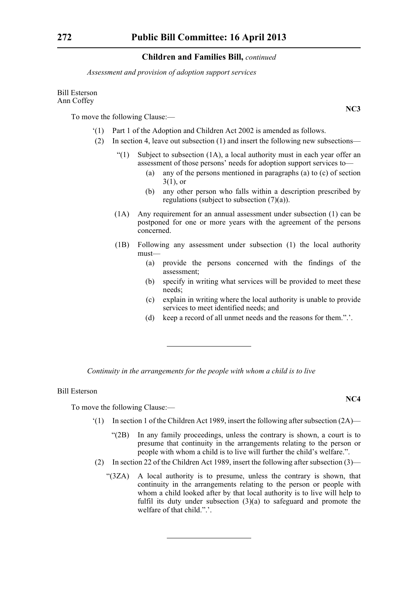*Assessment and provision of adoption support services*

#### Bill Esterson Ann Coffey

To move the following Clause:—

- '(1) Part 1 of the Adoption and Children Act 2002 is amended as follows.
- (2) In section 4, leave out subsection (1) and insert the following new subsections—
	- "(1) Subject to subsection  $(1A)$ , a local authority must in each year offer an assessment of those persons' needs for adoption support services to—
		- (a) any of the persons mentioned in paragraphs (a) to (c) of section 3(1), or
		- (b) any other person who falls within a description prescribed by regulations (subject to subsection (7)(a)).
	- (1A) Any requirement for an annual assessment under subsection (1) can be postponed for one or more years with the agreement of the persons concerned.
	- (1B) Following any assessment under subsection (1) the local authority must—
		- (a) provide the persons concerned with the findings of the assessment;
		- (b) specify in writing what services will be provided to meet these needs;
		- (c) explain in writing where the local authority is unable to provide services to meet identified needs; and
		- (d) keep a record of all unmet needs and the reasons for them.".'.

*Continuity in the arrangements for the people with whom a child is to live*

### Bill Esterson

To move the following Clause:—

- $(1)$  In section 1 of the Children Act 1989, insert the following after subsection  $(2A)$ 
	- "(2B) In any family proceedings, unless the contrary is shown, a court is to presume that continuity in the arrangements relating to the person or people with whom a child is to live will further the child's welfare.".
- (2) In section 22 of the Children Act 1989, insert the following after subsection  $(3)$ 
	- "(3ZA) A local authority is to presume, unless the contrary is shown, that continuity in the arrangements relating to the person or people with whom a child looked after by that local authority is to live will help to fulfil its duty under subsection (3)(a) to safeguard and promote the welfare of that child.".'.

**NC3**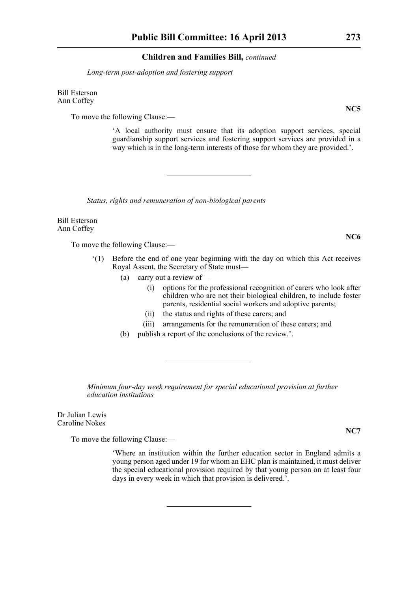*Long-term post-adoption and fostering support*

Bill Esterson Ann Coffey

To move the following Clause:—

'A local authority must ensure that its adoption support services, special guardianship support services and fostering support services are provided in a way which is in the long-term interests of those for whom they are provided.'.

*Status, rights and remuneration of non-biological parents*

Bill Esterson Ann Coffey

To move the following Clause:—

- '(1) Before the end of one year beginning with the day on which this Act receives Royal Assent, the Secretary of State must—
	- (a) carry out a review of—
		- (i) options for the professional recognition of carers who look after children who are not their biological children, to include foster parents, residential social workers and adoptive parents;
		- (ii) the status and rights of these carers; and
		- (iii) arrangements for the remuneration of these carers; and
	- (b) publish a report of the conclusions of the review.'.

*Minimum four-day week requirement for special educational provision at further education institutions*

Dr Julian Lewis Caroline Nokes

To move the following Clause:—

'Where an institution within the further education sector in England admits a young person aged under 19 for whom an EHC plan is maintained, it must deliver the special educational provision required by that young person on at least four days in every week in which that provision is delivered.'.

**NC5**

**NC7**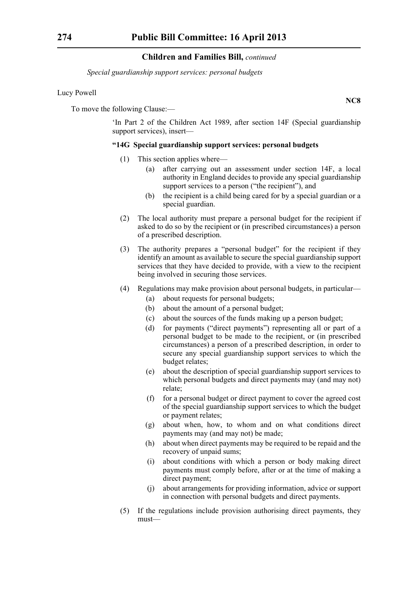*Special guardianship support services: personal budgets*

### Lucy Powell

To move the following Clause:—

'In Part 2 of the Children Act 1989, after section 14F (Special guardianship support services), insert—

# **"14G Special guardianship support services: personal budgets**

- (1) This section applies where—
	- (a) after carrying out an assessment under section 14F, a local authority in England decides to provide any special guardianship support services to a person ("the recipient"), and
	- (b) the recipient is a child being cared for by a special guardian or a special guardian.
- (2) The local authority must prepare a personal budget for the recipient if asked to do so by the recipient or (in prescribed circumstances) a person of a prescribed description.
- (3) The authority prepares a "personal budget" for the recipient if they identify an amount as available to secure the special guardianship support services that they have decided to provide, with a view to the recipient being involved in securing those services.
- (4) Regulations may make provision about personal budgets, in particular—
	- (a) about requests for personal budgets;
	- (b) about the amount of a personal budget;
	- (c) about the sources of the funds making up a person budget;
	- (d) for payments ("direct payments") representing all or part of a personal budget to be made to the recipient, or (in prescribed circumstances) a person of a prescribed description, in order to secure any special guardianship support services to which the budget relates;
	- (e) about the description of special guardianship support services to which personal budgets and direct payments may (and may not) relate;
	- (f) for a personal budget or direct payment to cover the agreed cost of the special guardianship support services to which the budget or payment relates;
	- (g) about when, how, to whom and on what conditions direct payments may (and may not) be made;
	- (h) about when direct payments may be required to be repaid and the recovery of unpaid sums;
	- (i) about conditions with which a person or body making direct payments must comply before, after or at the time of making a direct payment;
	- (j) about arrangements for providing information, advice or support in connection with personal budgets and direct payments.
- (5) If the regulations include provision authorising direct payments, they must—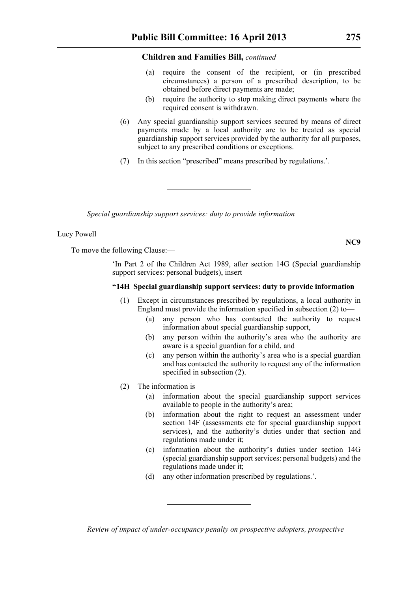- (a) require the consent of the recipient, or (in prescribed circumstances) a person of a prescribed description, to be obtained before direct payments are made;
- (b) require the authority to stop making direct payments where the required consent is withdrawn.
- (6) Any special guardianship support services secured by means of direct payments made by a local authority are to be treated as special guardianship support services provided by the authority for all purposes, subject to any prescribed conditions or exceptions.
- (7) In this section "prescribed" means prescribed by regulations.'.

*Special guardianship support services: duty to provide information*

### Lucy Powell

To move the following Clause:—

'In Part 2 of the Children Act 1989, after section 14G (Special guardianship support services: personal budgets), insert—

#### **"14H Special guardianship support services: duty to provide information**

- (1) Except in circumstances prescribed by regulations, a local authority in England must provide the information specified in subsection (2) to—
	- (a) any person who has contacted the authority to request information about special guardianship support,
	- (b) any person within the authority's area who the authority are aware is a special guardian for a child, and
	- (c) any person within the authority's area who is a special guardian and has contacted the authority to request any of the information specified in subsection (2).
- (2) The information is—
	- (a) information about the special guardianship support services available to people in the authority's area;
	- (b) information about the right to request an assessment under section 14F (assessments etc for special guardianship support services), and the authority's duties under that section and regulations made under it;
	- (c) information about the authority's duties under section 14G (special guardianship support services: personal budgets) and the regulations made under it;
	- (d) any other information prescribed by regulations.'.

*Review of impact of under-occupancy penalty on prospective adopters, prospective*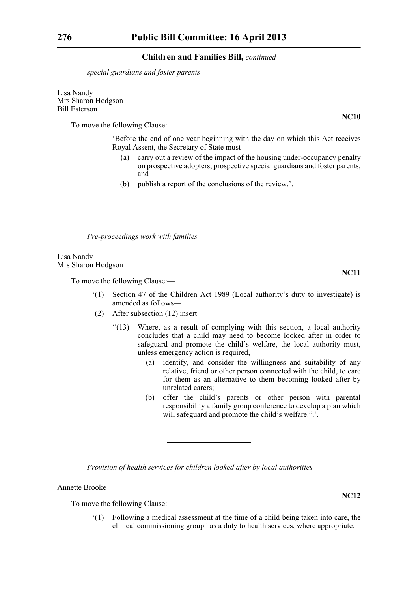*special guardians and foster parents*

Lisa Nandy Mrs Sharon Hodgson Bill Esterson

To move the following Clause:—

'Before the end of one year beginning with the day on which this Act receives Royal Assent, the Secretary of State must—

- (a) carry out a review of the impact of the housing under-occupancy penalty on prospective adopters, prospective special guardians and foster parents, and
- (b) publish a report of the conclusions of the review.'.

*Pre-proceedings work with families*

Lisa Nandy Mrs Sharon Hodgson

To move the following Clause:—

- '(1) Section 47 of the Children Act 1989 (Local authority's duty to investigate) is amended as follows—
- (2) After subsection (12) insert—
	- "(13) Where, as a result of complying with this section, a local authority concludes that a child may need to become looked after in order to safeguard and promote the child's welfare, the local authority must, unless emergency action is required,—
		- (a) identify, and consider the willingness and suitability of any relative, friend or other person connected with the child, to care for them as an alternative to them becoming looked after by unrelated carers;
		- (b) offer the child's parents or other person with parental responsibility a family group conference to develop a plan which will safeguard and promote the child's welfare.".'.

*Provision of health services for children looked after by local authorities*

# Annette Brooke

To move the following Clause:—

'(1) Following a medical assessment at the time of a child being taken into care, the clinical commissioning group has a duty to health services, where appropriate.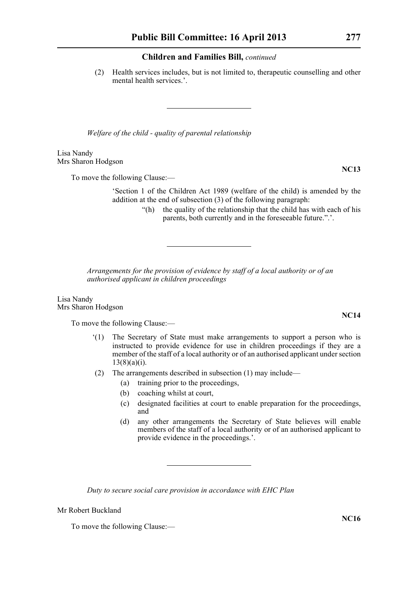(2) Health services includes, but is not limited to, therapeutic counselling and other mental health services.'.

*Welfare of the child - quality of parental relationship*

Lisa Nandy Mrs Sharon Hodgson

To move the following Clause:—

'Section 1 of the Children Act 1989 (welfare of the child) is amended by the addition at the end of subsection (3) of the following paragraph:

> "(h) the quality of the relationship that the child has with each of his parents, both currently and in the foreseeable future.".'.

*Arrangements for the provision of evidence by staff of a local authority or of an authorised applicant in children proceedings*

Lisa Nandy Mrs Sharon Hodgson

To move the following Clause:—

- '(1) The Secretary of State must make arrangements to support a person who is instructed to provide evidence for use in children proceedings if they are a member of the staff of a local authority or of an authorised applicant under section  $13(8)(a)(i)$ .
- (2) The arrangements described in subsection (1) may include—
	- (a) training prior to the proceedings,
	- (b) coaching whilst at court,
	- (c) designated facilities at court to enable preparation for the proceedings, and
	- (d) any other arrangements the Secretary of State believes will enable members of the staff of a local authority or of an authorised applicant to provide evidence in the proceedings.'.

*Duty to secure social care provision in accordance with EHC Plan*

Mr Robert Buckland

To move the following Clause:—

**NC16**

**NC14**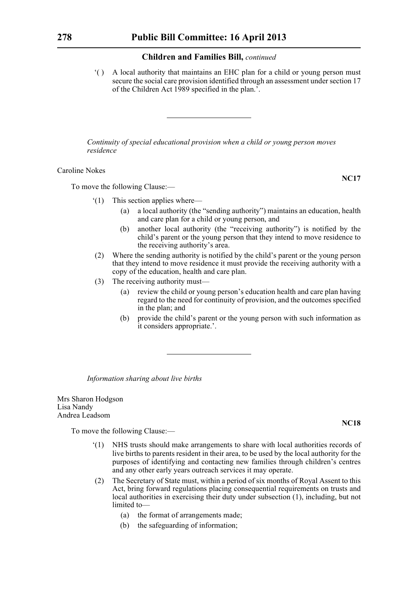'( ) A local authority that maintains an EHC plan for a child or young person must secure the social care provision identified through an assessment under section 17 of the Children Act 1989 specified in the plan.'.

*Continuity of special educational provision when a child or young person moves residence*

Caroline Nokes

To move the following Clause:—

- '(1) This section applies where—
	- (a) a local authority (the "sending authority") maintains an education, health and care plan for a child or young person, and
	- (b) another local authority (the "receiving authority") is notified by the child's parent or the young person that they intend to move residence to the receiving authority's area.
- (2) Where the sending authority is notified by the child's parent or the young person that they intend to move residence it must provide the receiving authority with a copy of the education, health and care plan.
- (3) The receiving authority must—
	- (a) review the child or young person's education health and care plan having regard to the need for continuity of provision, and the outcomes specified in the plan; and
	- (b) provide the child's parent or the young person with such information as it considers appropriate.'.

*Information sharing about live births*

Mrs Sharon Hodgson Lisa Nandy Andrea Leadsom

To move the following Clause:—

- '(1) NHS trusts should make arrangements to share with local authorities records of live births to parents resident in their area, to be used by the local authority for the purposes of identifying and contacting new families through children's centres and any other early years outreach services it may operate.
- (2) The Secretary of State must, within a period of six months of Royal Assent to this Act, bring forward regulations placing consequential requirements on trusts and local authorities in exercising their duty under subsection (1), including, but not limited to—
	- (a) the format of arrangements made;
	- (b) the safeguarding of information;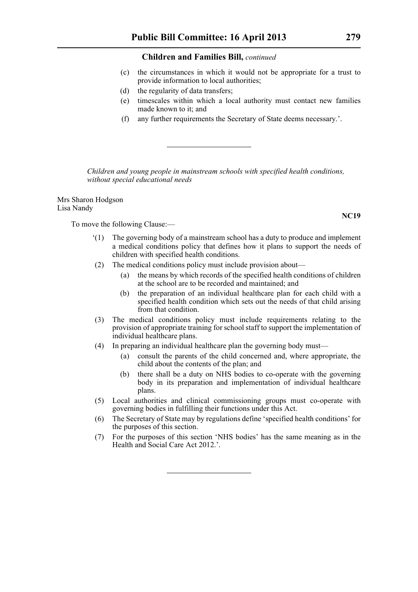- (c) the circumstances in which it would not be appropriate for a trust to provide information to local authorities;
- (d) the regularity of data transfers;
- (e) timescales within which a local authority must contact new families made known to it; and
- (f) any further requirements the Secretary of State deems necessary.'.

*Children and young people in mainstream schools with specified health conditions, without special educational needs*

Mrs Sharon Hodgson Lisa Nandy

To move the following Clause:—

- '(1) The governing body of a mainstream school has a duty to produce and implement a medical conditions policy that defines how it plans to support the needs of children with specified health conditions.
- (2) The medical conditions policy must include provision about—
	- (a) the means by which records of the specified health conditions of children at the school are to be recorded and maintained; and
	- (b) the preparation of an individual healthcare plan for each child with a specified health condition which sets out the needs of that child arising from that condition.
- (3) The medical conditions policy must include requirements relating to the provision of appropriate training for school staff to support the implementation of individual healthcare plans.
- (4) In preparing an individual healthcare plan the governing body must—
	- (a) consult the parents of the child concerned and, where appropriate, the child about the contents of the plan; and
	- (b) there shall be a duty on NHS bodies to co-operate with the governing body in its preparation and implementation of individual healthcare plans.
- (5) Local authorities and clinical commissioning groups must co-operate with governing bodies in fulfilling their functions under this Act.
- (6) The Secretary of State may by regulations define 'specified health conditions' for the purposes of this section.
- (7) For the purposes of this section 'NHS bodies' has the same meaning as in the Health and Social Care Act 2012.'.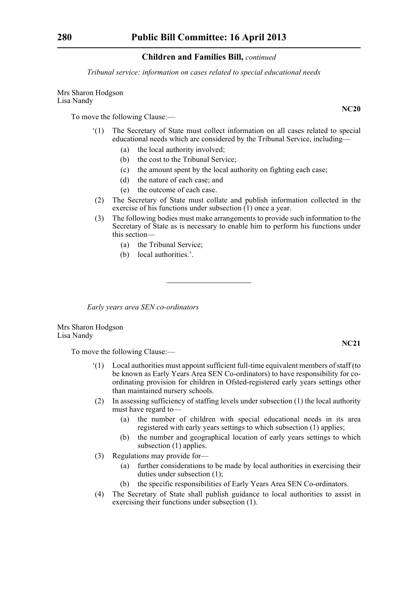*Tribunal service: information on cases related to special educational needs*

Mrs Sharon Hodgson Lisa Nandy

To move the following Clause:—

- '(1) The Secretary of State must collect information on all cases related to special educational needs which are considered by the Tribunal Service, including—
	- (a) the local authority involved;
	- (b) the cost to the Tribunal Service;
	- (c) the amount spent by the local authority on fighting each case;
	- (d) the nature of each case; and
	- (e) the outcome of each case.
- (2) The Secretary of State must collate and publish information collected in the exercise of his functions under subsection (1) once a year.
- (3) The following bodies must make arrangements to provide such information to the Secretary of State as is necessary to enable him to perform his functions under this section—
	- (a) the Tribunal Service;
	- (b) local authorities.'.

*Early years area SEN co-ordinators*

Mrs Sharon Hodgson Lisa Nandy

To move the following Clause:—

- '(1) Local authorities must appoint sufficient full-time equivalent members of staff (to be known as Early Years Area SEN Co-ordinators) to have responsibility for coordinating provision for children in Ofsted-registered early years settings other than maintained nursery schools.
- (2) In assessing sufficiency of staffing levels under subsection (1) the local authority must have regard to—
	- (a) the number of children with special educational needs in its area registered with early years settings to which subsection (1) applies;
	- (b) the number and geographical location of early years settings to which subsection (1) applies.
- (3) Regulations may provide for—
	- (a) further considerations to be made by local authorities in exercising their duties under subsection (1);
	- (b) the specific responsibilities of Early Years Area SEN Co-ordinators.
- (4) The Secretary of State shall publish guidance to local authorities to assist in exercising their functions under subsection (1).

**NC20**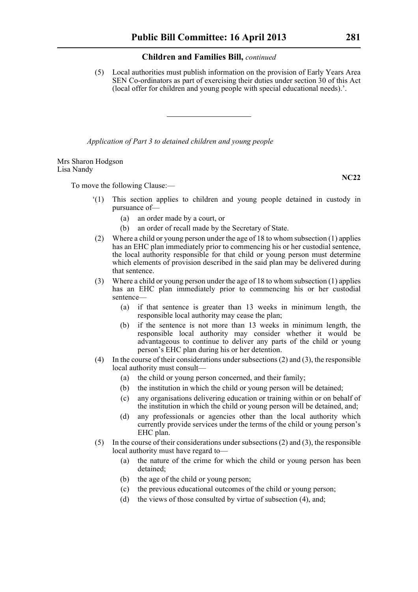(5) Local authorities must publish information on the provision of Early Years Area SEN Co-ordinators as part of exercising their duties under section 30 of this Act (local offer for children and young people with special educational needs).'.

*Application of Part 3 to detained children and young people*

Mrs Sharon Hodgson Lisa Nandy

To move the following Clause:—

- '(1) This section applies to children and young people detained in custody in pursuance of—
	- (a) an order made by a court, or
	- (b) an order of recall made by the Secretary of State.
- (2) Where a child or young person under the age of 18 to whom subsection (1) applies has an EHC plan immediately prior to commencing his or her custodial sentence, the local authority responsible for that child or young person must determine which elements of provision described in the said plan may be delivered during that sentence.
- (3) Where a child or young person under the age of 18 to whom subsection (1) applies has an EHC plan immediately prior to commencing his or her custodial sentence—
	- (a) if that sentence is greater than 13 weeks in minimum length, the responsible local authority may cease the plan;
	- (b) if the sentence is not more than 13 weeks in minimum length, the responsible local authority may consider whether it would be advantageous to continue to deliver any parts of the child or young person's EHC plan during his or her detention.
- (4) In the course of their considerations under subsections (2) and (3), the responsible local authority must consult—
	- (a) the child or young person concerned, and their family;
	- (b) the institution in which the child or young person will be detained;
	- (c) any organisations delivering education or training within or on behalf of the institution in which the child or young person will be detained, and;
	- (d) any professionals or agencies other than the local authority which currently provide services under the terms of the child or young person's EHC plan.
- (5) In the course of their considerations under subsections (2) and (3), the responsible local authority must have regard to—
	- (a) the nature of the crime for which the child or young person has been detained;
	- (b) the age of the child or young person;
	- (c) the previous educational outcomes of the child or young person;
	- (d) the views of those consulted by virtue of subsection (4), and;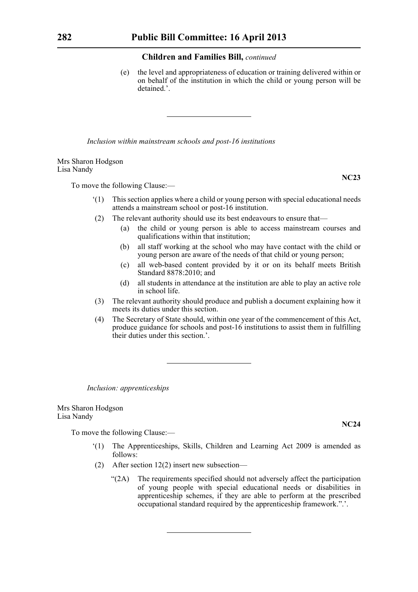(e) the level and appropriateness of education or training delivered within or on behalf of the institution in which the child or young person will be detained.'.

*Inclusion within mainstream schools and post-16 institutions*

Mrs Sharon Hodgson Lisa Nandy

To move the following Clause:—

- '(1) This section applies where a child or young person with special educational needs attends a mainstream school or post-16 institution.
- (2) The relevant authority should use its best endeavours to ensure that—
	- (a) the child or young person is able to access mainstream courses and qualifications within that institution;
	- (b) all staff working at the school who may have contact with the child or young person are aware of the needs of that child or young person;
	- (c) all web-based content provided by it or on its behalf meets British Standard 8878:2010; and
	- (d) all students in attendance at the institution are able to play an active role in school life.
- (3) The relevant authority should produce and publish a document explaining how it meets its duties under this section.
- (4) The Secretary of State should, within one year of the commencement of this Act, produce guidance for schools and post-16 institutions to assist them in fulfilling their duties under this section.'.

*Inclusion: apprenticeships*

Mrs Sharon Hodgson Lisa Nandy

To move the following Clause:—

- '(1) The Apprenticeships, Skills, Children and Learning Act 2009 is amended as follows:
- (2) After section 12(2) insert new subsection—
	- "(2A) The requirements specified should not adversely affect the participation of young people with special educational needs or disabilities in apprenticeship schemes, if they are able to perform at the prescribed occupational standard required by the apprenticeship framework.".'.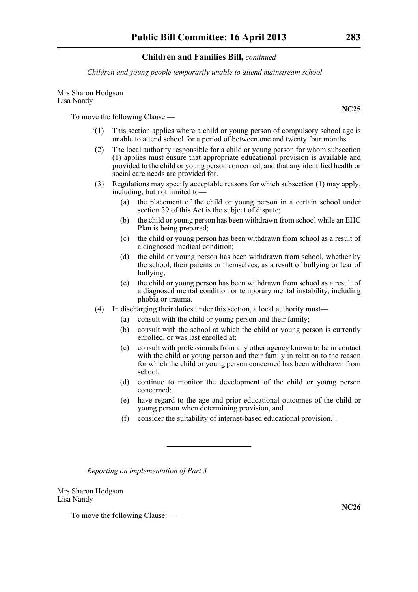*Children and young people temporarily unable to attend mainstream school*

Mrs Sharon Hodgson Lisa Nandy

To move the following Clause:—

- '(1) This section applies where a child or young person of compulsory school age is unable to attend school for a period of between one and twenty four months.
- (2) The local authority responsible for a child or young person for whom subsection (1) applies must ensure that appropriate educational provision is available and provided to the child or young person concerned, and that any identified health or social care needs are provided for.
- (3) Regulations may specify acceptable reasons for which subsection (1) may apply, including, but not limited to—
	- (a) the placement of the child or young person in a certain school under section 39 of this Act is the subject of dispute;
	- (b) the child or young person has been withdrawn from school while an EHC Plan is being prepared;
	- (c) the child or young person has been withdrawn from school as a result of a diagnosed medical condition;
	- (d) the child or young person has been withdrawn from school, whether by the school, their parents or themselves, as a result of bullying or fear of bullying;
	- (e) the child or young person has been withdrawn from school as a result of a diagnosed mental condition or temporary mental instability, including phobia or trauma.
- (4) In discharging their duties under this section, a local authority must—
	- (a) consult with the child or young person and their family;
	- (b) consult with the school at which the child or young person is currently enrolled, or was last enrolled at;
	- (c) consult with professionals from any other agency known to be in contact with the child or young person and their family in relation to the reason for which the child or young person concerned has been withdrawn from school;
	- (d) continue to monitor the development of the child or young person concerned;
	- (e) have regard to the age and prior educational outcomes of the child or young person when determining provision, and
	- (f) consider the suitability of internet-based educational provision.'.

*Reporting on implementation of Part 3*

Mrs Sharon Hodgson Lisa Nandy

To move the following Clause:—

**NC26**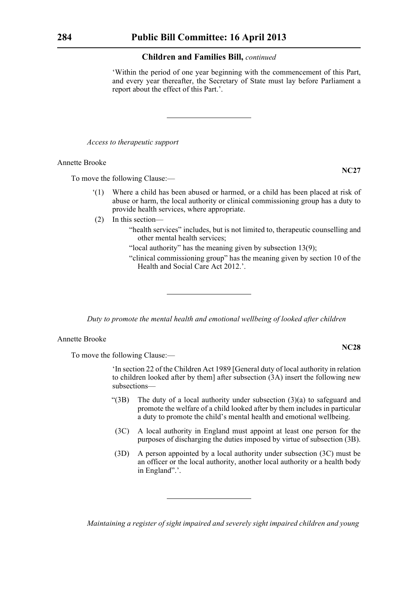'Within the period of one year beginning with the commencement of this Part, and every year thereafter, the Secretary of State must lay before Parliament a report about the effect of this Part.'.

*Access to therapeutic support*

Annette Brooke

To move the following Clause:—

- '(1) Where a child has been abused or harmed, or a child has been placed at risk of abuse or harm, the local authority or clinical commissioning group has a duty to provide health services, where appropriate.
- (2) In this section—
	- "health services" includes, but is not limited to, therapeutic counselling and other mental health services;
	- "local authority" has the meaning given by subsection 13(9);
	- "clinical commissioning group" has the meaning given by section 10 of the Health and Social Care Act 2012.'.

*Duty to promote the mental health and emotional wellbeing of looked after children*

#### Annette Brooke

To move the following Clause:—

'In section 22 of the Children Act 1989 [General duty of local authority in relation to children looked after by them] after subsection (3A) insert the following new subsections—

- "(3B) The duty of a local authority under subsection (3)(a) to safeguard and promote the welfare of a child looked after by them includes in particular a duty to promote the child's mental health and emotional wellbeing.
- (3C) A local authority in England must appoint at least one person for the purposes of discharging the duties imposed by virtue of subsection (3B).
- (3D) A person appointed by a local authority under subsection (3C) must be an officer or the local authority, another local authority or a health body in England".'.

*Maintaining a register of sight impaired and severely sight impaired children and young* 

**NC27**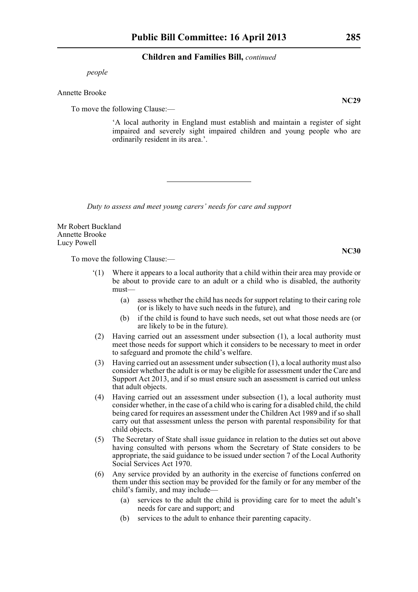*people*

#### Annette Brooke

To move the following Clause:—

'A local authority in England must establish and maintain a register of sight impaired and severely sight impaired children and young people who are ordinarily resident in its area.'.

*Duty to assess and meet young carers' needs for care and support*

Mr Robert Buckland Annette Brooke Lucy Powell

To move the following Clause:—

- '(1) Where it appears to a local authority that a child within their area may provide or be about to provide care to an adult or a child who is disabled, the authority must—
	- (a) assess whether the child has needs for support relating to their caring role (or is likely to have such needs in the future), and
	- (b) if the child is found to have such needs, set out what those needs are (or are likely to be in the future).
- (2) Having carried out an assessment under subsection (1), a local authority must meet those needs for support which it considers to be necessary to meet in order to safeguard and promote the child's welfare.
- (3) Having carried out an assessment under subsection (1), a local authority must also consider whether the adult is or may be eligible for assessment under the Care and Support Act 2013, and if so must ensure such an assessment is carried out unless that adult objects.
- (4) Having carried out an assessment under subsection (1), a local authority must consider whether, in the case of a child who is caring for a disabled child, the child being cared for requires an assessment under the Children Act 1989 and if so shall carry out that assessment unless the person with parental responsibility for that child objects.
- (5) The Secretary of State shall issue guidance in relation to the duties set out above having consulted with persons whom the Secretary of State considers to be appropriate, the said guidance to be issued under section 7 of the Local Authority Social Services Act 1970.
- (6) Any service provided by an authority in the exercise of functions conferred on them under this section may be provided for the family or for any member of the child's family, and may include—
	- (a) services to the adult the child is providing care for to meet the adult's needs for care and support; and
	- (b) services to the adult to enhance their parenting capacity.

**NC29**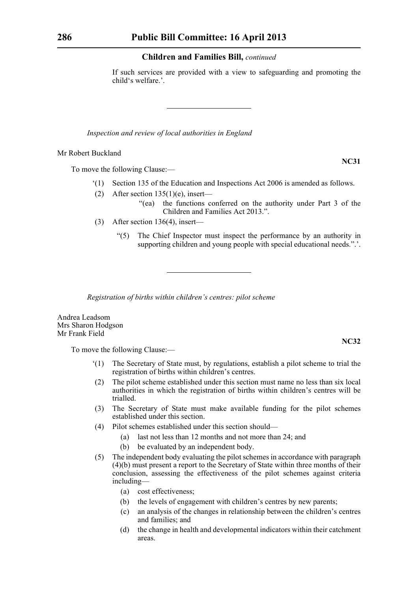If such services are provided with a view to safeguarding and promoting the child's welfare.'.

*Inspection and review of local authorities in England*

Mr Robert Buckland

To move the following Clause:—

- '(1) Section 135 of the Education and Inspections Act 2006 is amended as follows.
- (2) After section  $135(1)(e)$ , insert—
	- "(ea) the functions conferred on the authority under Part 3 of the Children and Families Act 2013.".
- (3) After section 136(4), insert—
	- "(5) The Chief Inspector must inspect the performance by an authority in supporting children and young people with special educational needs.".

*Registration of births within children's centres: pilot scheme*

Andrea Leadsom Mrs Sharon Hodgson Mr Frank Field

To move the following Clause:—

- '(1) The Secretary of State must, by regulations, establish a pilot scheme to trial the registration of births within children's centres.
- (2) The pilot scheme established under this section must name no less than six local authorities in which the registration of births within children's centres will be trialled.
- (3) The Secretary of State must make available funding for the pilot schemes established under this section.
- (4) Pilot schemes established under this section should—
	- (a) last not less than 12 months and not more than 24; and
	- (b) be evaluated by an independent body.
- (5) The independent body evaluating the pilot schemes in accordance with paragraph (4)(b) must present a report to the Secretary of State within three months of their conclusion, assessing the effectiveness of the pilot schemes against criteria including—
	- (a) cost effectiveness;
	- (b) the levels of engagement with children's centres by new parents;
	- (c) an analysis of the changes in relationship between the children's centres and families; and
	- (d) the change in health and developmental indicators within their catchment areas.

**NC31**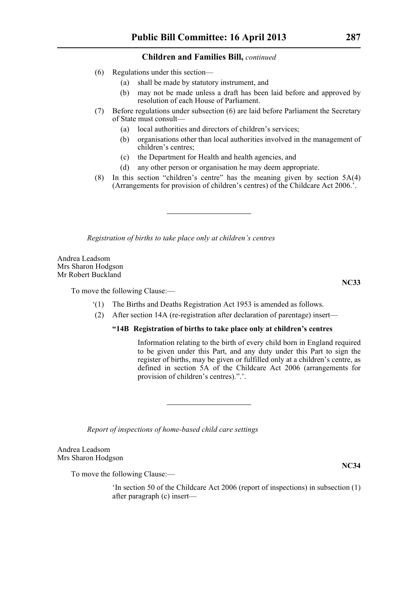- (6) Regulations under this section—
	- (a) shall be made by statutory instrument, and
	- (b) may not be made unless a draft has been laid before and approved by resolution of each House of Parliament.
- (7) Before regulations under subsection (6) are laid before Parliament the Secretary of State must consult—
	- (a) local authorities and directors of children's services;
	- (b) organisations other than local authorities involved in the management of children's centres;
	- (c) the Department for Health and health agencies, and
	- (d) any other person or organisation he may deem appropriate.
- (8) In this section "children's centre" has the meaning given by section 5A(4) (Arrangements for provision of children's centres) of the Childcare Act 2006.'.

*Registration of births to take place only at children's centres*

Andrea Leadsom Mrs Sharon Hodgson Mr Robert Buckland

To move the following Clause:—

- '(1) The Births and Deaths Registration Act 1953 is amended as follows.
- (2) After section 14A (re-registration after declaration of parentage) insert—

# **"14B Registration of births to take place only at children's centres**

Information relating to the birth of every child born in England required to be given under this Part, and any duty under this Part to sign the register of births, may be given or fulfilled only at a children's centre, as defined in section 5A of the Childcare Act 2006 (arrangements for provision of children's centres).".'.

*Report of inspections of home-based child care settings*

Andrea Leadsom Mrs Sharon Hodgson

To move the following Clause:—

'In section 50 of the Childcare Act 2006 (report of inspections) in subsection (1) after paragraph (c) insert—

**NC34**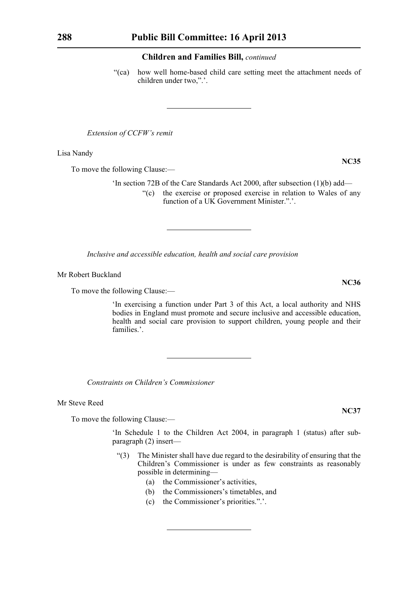"(ca) how well home-based child care setting meet the attachment needs of children under two,".'.

*Extension of CCFW's remit*

Lisa Nandy

To move the following Clause:—

'In section 72B of the Care Standards Act 2000, after subsection (1)(b) add— "(c) the exercise or proposed exercise in relation to Wales of any function of a UK Government Minister.".

*Inclusive and accessible education, health and social care provision*

Mr Robert Buckland

To move the following Clause:—

'In exercising a function under Part 3 of this Act, a local authority and NHS bodies in England must promote and secure inclusive and accessible education, health and social care provision to support children, young people and their families<sup>?</sup>

*Constraints on Children's Commissioner*

Mr Steve Reed

To move the following Clause:—

'In Schedule 1 to the Children Act 2004, in paragraph 1 (status) after subparagraph (2) insert—

- "(3) The Minister shall have due regard to the desirability of ensuring that the Children's Commissioner is under as few constraints as reasonably possible in determining—
	- (a) the Commissioner's activities,
	- (b) the Commissioners's timetables, and
	- (c) the Commissioner's priorities.".'.

**NC35**

**NC36**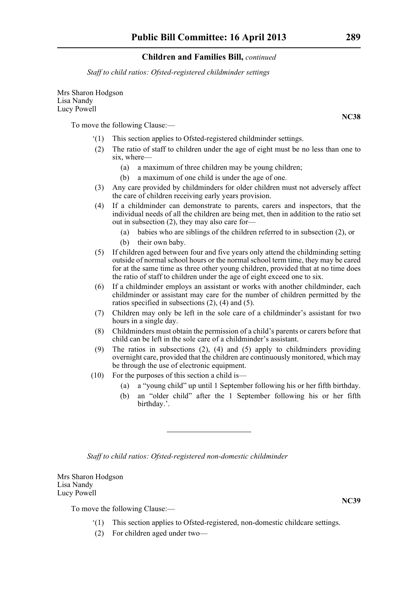*Staff to child ratios: Ofsted-registered childminder settings*

Mrs Sharon Hodgson Lisa Nandy Lucy Powell

To move the following Clause:—

- '(1) This section applies to Ofsted-registered childminder settings.
- (2) The ratio of staff to children under the age of eight must be no less than one to six, where—
	- (a) a maximum of three children may be young children;
	- (b) a maximum of one child is under the age of one.
- (3) Any care provided by childminders for older children must not adversely affect the care of children receiving early years provision.
- (4) If a childminder can demonstrate to parents, carers and inspectors, that the individual needs of all the children are being met, then in addition to the ratio set out in subsection (2), they may also care for—
	- (a) babies who are siblings of the children referred to in subsection (2), or
	- (b) their own baby.
- (5) If children aged between four and five years only attend the childminding setting outside of normal school hours or the normal school term time, they may be cared for at the same time as three other young children, provided that at no time does the ratio of staff to children under the age of eight exceed one to six.
- (6) If a childminder employs an assistant or works with another childminder, each childminder or assistant may care for the number of children permitted by the ratios specified in subsections (2), (4) and (5).
- (7) Children may only be left in the sole care of a childminder's assistant for two hours in a single day.
- (8) Childminders must obtain the permission of a child's parents or carers before that child can be left in the sole care of a childminder's assistant.
- (9) The ratios in subsections  $(2)$ ,  $(4)$  and  $(5)$  apply to childminders providing overnight care, provided that the children are continuously monitored, which may be through the use of electronic equipment.
- (10) For the purposes of this section a child is—
	- (a) a "young child" up until 1 September following his or her fifth birthday.
	- (b) an "older child" after the 1 September following his or her fifth birthday.'.

*Staff to child ratios: Ofsted-registered non-domestic childminder*

Mrs Sharon Hodgson Lisa Nandy Lucy Powell

To move the following Clause:—

- '(1) This section applies to Ofsted-registered, non-domestic childcare settings.
- (2) For children aged under two—

**NC39**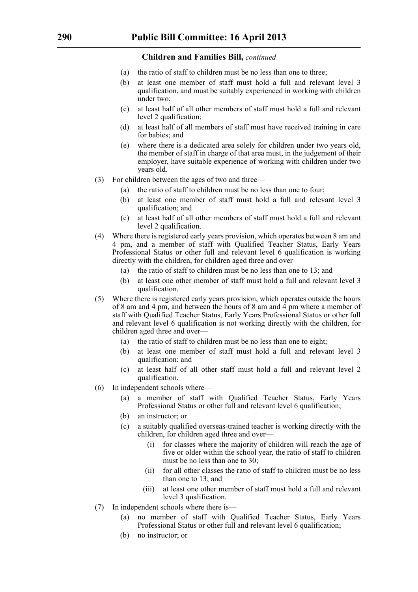- (a) the ratio of staff to children must be no less than one to three;
- (b) at least one member of staff must hold a full and relevant level 3 qualification, and must be suitably experienced in working with children under two;
- (c) at least half of all other members of staff must hold a full and relevant level 2 qualification;
- (d) at least half of all members of staff must have received training in care for babies; and
- (e) where there is a dedicated area solely for children under two years old, the member of staff in charge of that area must, in the judgement of their employer, have suitable experience of working with children under two years old.
- (3) For children between the ages of two and three—
	- (a) the ratio of staff to children must be no less than one to four;
	- (b) at least one member of staff must hold a full and relevant level 3 qualification; and
	- (c) at least half of all other members of staff must hold a full and relevant level 2 qualification.
- (4) Where there is registered early years provision, which operates between 8 am and 4 pm, and a member of staff with Qualified Teacher Status, Early Years Professional Status or other full and relevant level 6 qualification is working directly with the children, for children aged three and over—
	- (a) the ratio of staff to children must be no less than one to 13; and
	- (b) at least one other member of staff must hold a full and relevant level 3 qualification.
- (5) Where there is registered early years provision, which operates outside the hours of 8 am and 4 pm, and between the hours of 8 am and 4 pm where a member of staff with Qualified Teacher Status, Early Years Professional Status or other full and relevant level 6 qualification is not working directly with the children, for children aged three and over—
	- (a) the ratio of staff to children must be no less than one to eight;
	- (b) at least one member of staff must hold a full and relevant level 3 qualification; and
	- (c) at least half of all other staff must hold a full and relevant level 2 qualification.
- (6) In independent schools where—
	- (a) a member of staff with Qualified Teacher Status, Early Years Professional Status or other full and relevant level 6 qualification;
	- (b) an instructor; or
	- (c) a suitably qualified overseas-trained teacher is working directly with the children, for children aged three and over—
		- (i) for classes where the majority of children will reach the age of five or older within the school year, the ratio of staff to children must be no less than one to 30;
		- (ii) for all other classes the ratio of staff to children must be no less than one to 13; and
		- (iii) at least one other member of staff must hold a full and relevant level 3 qualification.
- (7) In independent schools where there is—
	- (a) no member of staff with Qualified Teacher Status, Early Years Professional Status or other full and relevant level 6 qualification;
	- (b) no instructor; or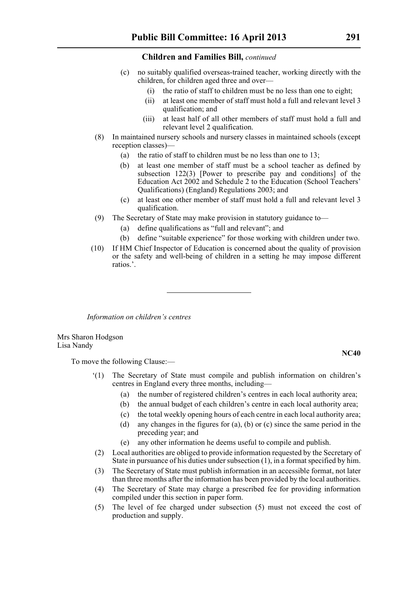- (c) no suitably qualified overseas-trained teacher, working directly with the children, for children aged three and over—
	- (i) the ratio of staff to children must be no less than one to eight;
	- (ii) at least one member of staff must hold a full and relevant level 3 qualification; and
	- (iii) at least half of all other members of staff must hold a full and relevant level 2 qualification.
- (8) In maintained nursery schools and nursery classes in maintained schools (except reception classes)—
	- (a) the ratio of staff to children must be no less than one to 13;
	- (b) at least one member of staff must be a school teacher as defined by subsection 122(3) [Power to prescribe pay and conditions] of the Education Act 2002 and Schedule 2 to the Education (School Teachers' Qualifications) (England) Regulations 2003; and
	- (c) at least one other member of staff must hold a full and relevant level 3 qualification.
- (9) The Secretary of State may make provision in statutory guidance to—
	- (a) define qualifications as "full and relevant"; and
	- (b) define "suitable experience" for those working with children under two.
- (10) If HM Chief Inspector of Education is concerned about the quality of provision or the safety and well-being of children in a setting he may impose different ratios.'.

*Information on children's centres*

Mrs Sharon Hodgson Lisa Nandy

To move the following Clause:—

- '(1) The Secretary of State must compile and publish information on children's centres in England every three months, including—
	- (a) the number of registered children's centres in each local authority area;
	- (b) the annual budget of each children's centre in each local authority area;
	- (c) the total weekly opening hours of each centre in each local authority area;
	- (d) any changes in the figures for (a), (b) or (c) since the same period in the preceding year; and
	- (e) any other information he deems useful to compile and publish.
- (2) Local authorities are obliged to provide information requested by the Secretary of State in pursuance of his duties under subsection (1), in a format specified by him.
- (3) The Secretary of State must publish information in an accessible format, not later than three months after the information has been provided by the local authorities.
- (4) The Secretary of State may charge a prescribed fee for providing information compiled under this section in paper form.
- (5) The level of fee charged under subsection (5) must not exceed the cost of production and supply.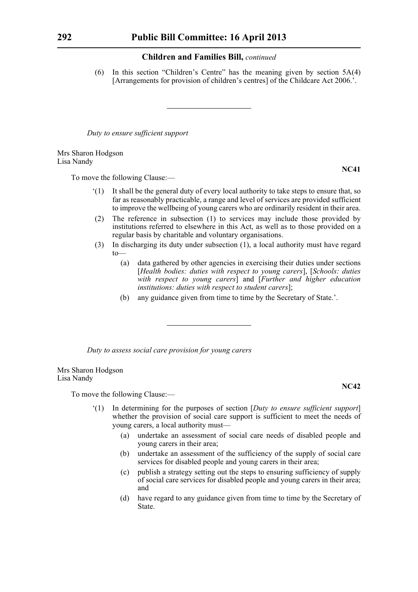(6) In this section "Children's Centre" has the meaning given by section 5A(4) [Arrangements for provision of children's centres] of the Childcare Act 2006.'.

*Duty to ensure sufficient support*

Mrs Sharon Hodgson Lisa Nandy

To move the following Clause:—

- '(1) It shall be the general duty of every local authority to take steps to ensure that, so far as reasonably practicable, a range and level of services are provided sufficient to improve the wellbeing of young carers who are ordinarily resident in their area.
- (2) The reference in subsection (1) to services may include those provided by institutions referred to elsewhere in this Act, as well as to those provided on a regular basis by charitable and voluntary organisations.
- (3) In discharging its duty under subsection (1), a local authority must have regard  $t_0$ 
	- (a) data gathered by other agencies in exercising their duties under sections [*Health bodies: duties with respect to young carers*], [*Schools: duties with respect to young carers*] and [*Further and higher education institutions: duties with respect to student carers*];
	- (b) any guidance given from time to time by the Secretary of State.'.

*Duty to assess social care provision for young carers*

Mrs Sharon Hodgson Lisa Nandy

To move the following Clause:—

- '(1) In determining for the purposes of section [*Duty to ensure sufficient support*] whether the provision of social care support is sufficient to meet the needs of young carers, a local authority must—
	- (a) undertake an assessment of social care needs of disabled people and young carers in their area;
	- (b) undertake an assessment of the sufficiency of the supply of social care services for disabled people and young carers in their area;
	- (c) publish a strategy setting out the steps to ensuring sufficiency of supply of social care services for disabled people and young carers in their area; and
	- (d) have regard to any guidance given from time to time by the Secretary of State.

**NC41**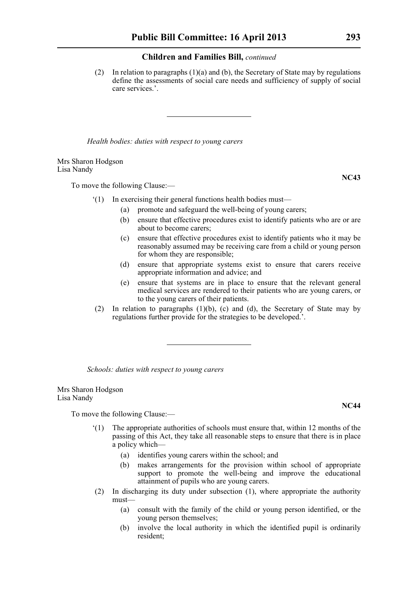(2) In relation to paragraphs (1)(a) and (b), the Secretary of State may by regulations define the assessments of social care needs and sufficiency of supply of social care services.'.

*Health bodies: duties with respect to young carers*

Mrs Sharon Hodgson Lisa Nandy

To move the following Clause:—

- '(1) In exercising their general functions health bodies must—
	- (a) promote and safeguard the well-being of young carers;
	- (b) ensure that effective procedures exist to identify patients who are or are about to become carers;
	- (c) ensure that effective procedures exist to identify patients who it may be reasonably assumed may be receiving care from a child or young person for whom they are responsible;
	- (d) ensure that appropriate systems exist to ensure that carers receive appropriate information and advice; and
	- (e) ensure that systems are in place to ensure that the relevant general medical services are rendered to their patients who are young carers, or to the young carers of their patients.
- (2) In relation to paragraphs (1)(b), (c) and (d), the Secretary of State may by regulations further provide for the strategies to be developed.'.

*Schools: duties with respect to young carers*

Mrs Sharon Hodgson Lisa Nandy

To move the following Clause:—

- '(1) The appropriate authorities of schools must ensure that, within 12 months of the passing of this Act, they take all reasonable steps to ensure that there is in place a policy which—
	- (a) identifies young carers within the school; and
	- (b) makes arrangements for the provision within school of appropriate support to promote the well-being and improve the educational attainment of pupils who are young carers.
- (2) In discharging its duty under subsection (1), where appropriate the authority must—
	- (a) consult with the family of the child or young person identified, or the young person themselves;
	- (b) involve the local authority in which the identified pupil is ordinarily resident;

**NC43**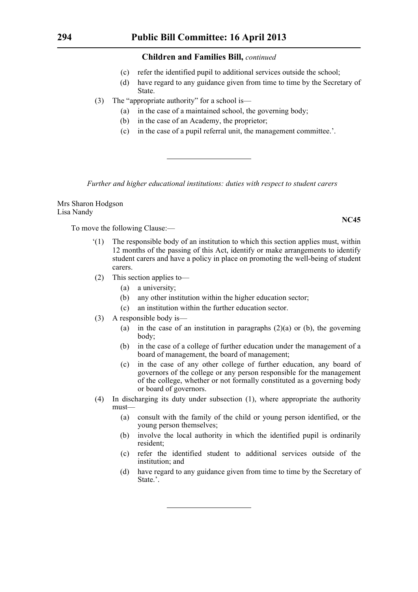- (c) refer the identified pupil to additional services outside the school;
- (d) have regard to any guidance given from time to time by the Secretary of State.
- (3) The "appropriate authority" for a school is—
	- (a) in the case of a maintained school, the governing body;
	- (b) in the case of an Academy, the proprietor;
	- (c) in the case of a pupil referral unit, the management committee.'.

*Further and higher educational institutions: duties with respect to student carers*

Mrs Sharon Hodgson Lisa Nandy

To move the following Clause:—

- '(1) The responsible body of an institution to which this section applies must, within 12 months of the passing of this Act, identify or make arrangements to identify student carers and have a policy in place on promoting the well-being of student carers.
- (2) This section applies to—
	- (a) a university;
	- (b) any other institution within the higher education sector;
	- (c) an institution within the further education sector.
- (3) A responsible body is—
	- (a) in the case of an institution in paragraphs  $(2)(a)$  or (b), the governing body;
	- (b) in the case of a college of further education under the management of a board of management, the board of management;
	- (c) in the case of any other college of further education, any board of governors of the college or any person responsible for the management of the college, whether or not formally constituted as a governing body or board of governors.
- (4) In discharging its duty under subsection (1), where appropriate the authority must—
	- (a) consult with the family of the child or young person identified, or the young person themselves;
	- (b) involve the local authority in which the identified pupil is ordinarily resident;
	- (c) refer the identified student to additional services outside of the institution; and
	- (d) have regard to any guidance given from time to time by the Secretary of State.'.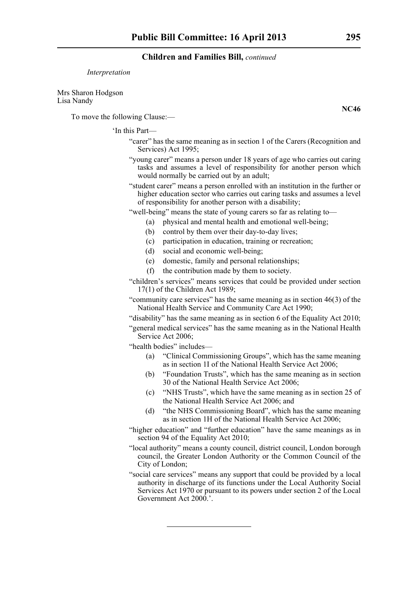#### *Interpretation*

Mrs Sharon Hodgson Lisa Nandy

To move the following Clause:—

# 'In this Part—

- "carer" has the same meaning as in section 1 of the Carers (Recognition and Services) Act 1995;
- "young carer" means a person under 18 years of age who carries out caring tasks and assumes a level of responsibility for another person which would normally be carried out by an adult;
- "student carer" means a person enrolled with an institution in the further or higher education sector who carries out caring tasks and assumes a level of responsibility for another person with a disability;

"well-being" means the state of young carers so far as relating to—

- (a) physical and mental health and emotional well-being;
- (b) control by them over their day-to-day lives;
- (c) participation in education, training or recreation;
- (d) social and economic well-being;
- (e) domestic, family and personal relationships;
- (f) the contribution made by them to society.

"children's services" means services that could be provided under section 17(1) of the Children Act 1989;

"community care services" has the same meaning as in section 46(3) of the National Health Service and Community Care Act 1990;

"disability" has the same meaning as in section 6 of the Equality Act 2010;

"general medical services" has the same meaning as in the National Health Service Act 2006;

"health bodies" includes—

- (a) "Clinical Commissioning Groups", which has the same meaning as in section 1I of the National Health Service Act 2006;
- (b) "Foundation Trusts", which has the same meaning as in section 30 of the National Health Service Act 2006;
- (c) "NHS Trusts", which have the same meaning as in section 25 of the National Health Service Act 2006; and
- (d) "the NHS Commissioning Board", which has the same meaning as in section 1H of the National Health Service Act 2006;
- "higher education" and "further education" have the same meanings as in section 94 of the Equality Act 2010:
- "local authority" means a county council, district council, London borough council, the Greater London Authority or the Common Council of the City of London;
- "social care services" means any support that could be provided by a local authority in discharge of its functions under the Local Authority Social Services Act 1970 or pursuant to its powers under section 2 of the Local Government Act 2000.'.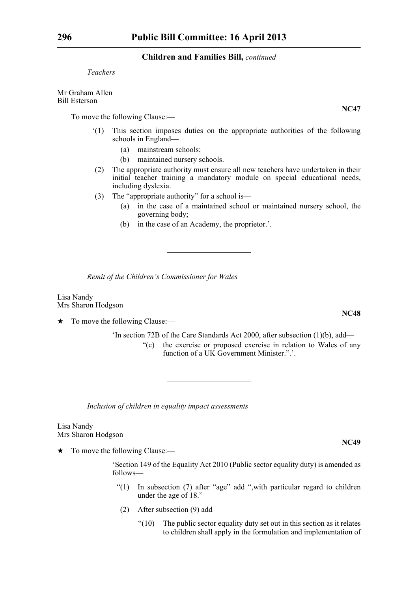*Teachers*

Mr Graham Allen Bill Esterson

To move the following Clause:—

- '(1) This section imposes duties on the appropriate authorities of the following schools in England—
	- (a) mainstream schools;
	- (b) maintained nursery schools.
- (2) The appropriate authority must ensure all new teachers have undertaken in their initial teacher training a mandatory module on special educational needs, including dyslexia.
- (3) The "appropriate authority" for a school is—
	- (a) in the case of a maintained school or maintained nursery school, the governing body;
	- (b) in the case of an Academy, the proprietor.'.

*Remit of the Children's Commissioner for Wales*

Lisa Nandy Mrs Sharon Hodgson

 $\star$  To move the following Clause:—

- 'In section 72B of the Care Standards Act 2000, after subsection (1)(b), add—
	- "(c) the exercise or proposed exercise in relation to Wales of any function of a UK Government Minister.".

*Inclusion of children in equality impact assessments*

Lisa Nandy Mrs Sharon Hodgson

 $\star$  To move the following Clause:—

'Section 149 of the Equality Act 2010 (Public sector equality duty) is amended as follows—

- "(1) In subsection (7) after "age" add ",with particular regard to children under the age of 18."
- (2) After subsection (9) add—
	- $"(10)$  The public sector equality duty set out in this section as it relates to children shall apply in the formulation and implementation of

**NC48**

**NC47**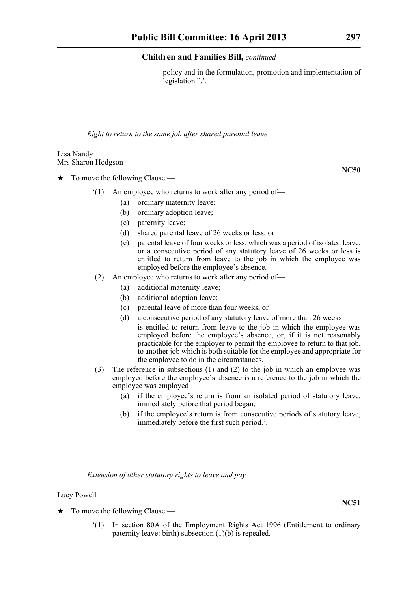policy and in the formulation, promotion and implementation of legislation.".'.

*Right to return to the same job after shared parental leave* 

#### Lisa Nandy Mrs Sharon Hodgson

 $\star$  To move the following Clause:—

- '(1) An employee who returns to work after any period of—
	- (a) ordinary maternity leave;
	- (b) ordinary adoption leave;
	- (c) paternity leave;
	- (d) shared parental leave of 26 weeks or less; or
	- (e) parental leave of four weeks or less, which was a period of isolated leave, or a consecutive period of any statutory leave of 26 weeks or less is entitled to return from leave to the job in which the employee was employed before the employee's absence.
- (2) An employee who returns to work after any period of—
	- (a) additional maternity leave;
	- (b) additional adoption leave;
	- (c) parental leave of more than four weeks; or
	- (d) a consecutive period of any statutory leave of more than 26 weeks is entitled to return from leave to the job in which the employee was employed before the employee's absence, or, if it is not reasonably practicable for the employer to permit the employee to return to that job, to another job which is both suitable for the employee and appropriate for the employee to do in the circumstances.
- (3) The reference in subsections (1) and (2) to the job in which an employee was employed before the employee's absence is a reference to the job in which the employee was employed—
	- (a) if the employee's return is from an isolated period of statutory leave, immediately before that period began,
	- (b) if the employee's return is from consecutive periods of statutory leave, immediately before the first such period.'.

*Extension of other statutory rights to leave and pay*

Lucy Powell

- $\star$  To move the following Clause:—
	- '(1) In section 80A of the Employment Rights Act 1996 (Entitlement to ordinary paternity leave: birth) subsection (1)(b) is repealed.

**NC50**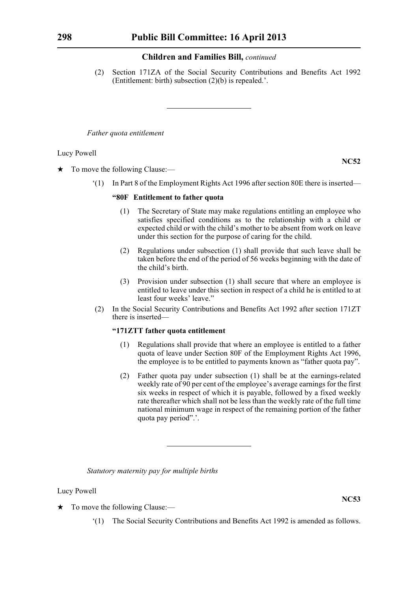(2) Section 171ZA of the Social Security Contributions and Benefits Act 1992 (Entitlement: birth) subsection (2)(b) is repealed.'.

*Father quota entitlement*

Lucy Powell

**NC52**

 $\star$  To move the following Clause:—

'(1) In Part 8 of the Employment Rights Act 1996 after section 80E there is inserted—

#### **"80F Entitlement to father quota**

- (1) The Secretary of State may make regulations entitling an employee who satisfies specified conditions as to the relationship with a child or expected child or with the child's mother to be absent from work on leave under this section for the purpose of caring for the child.
- (2) Regulations under subsection (1) shall provide that such leave shall be taken before the end of the period of 56 weeks beginning with the date of the child's birth.
- (3) Provision under subsection (1) shall secure that where an employee is entitled to leave under this section in respect of a child he is entitled to at least four weeks' leave."
- (2) In the Social Security Contributions and Benefits Act 1992 after section 171ZT there is inserted—

# **"171ZTT father quota entitlement**

- (1) Regulations shall provide that where an employee is entitled to a father quota of leave under Section 80F of the Employment Rights Act 1996, the employee is to be entitled to payments known as "father quota pay".
- (2) Father quota pay under subsection (1) shall be at the earnings-related weekly rate of 90 per cent of the employee's average earnings for the first six weeks in respect of which it is payable, followed by a fixed weekly rate thereafter which shall not be less than the weekly rate of the full time national minimum wage in respect of the remaining portion of the father quota pay period".'.

*Statutory maternity pay for multiple births*

Lucy Powell

- $\star$  To move the following Clause:—
	- '(1) The Social Security Contributions and Benefits Act 1992 is amended as follows.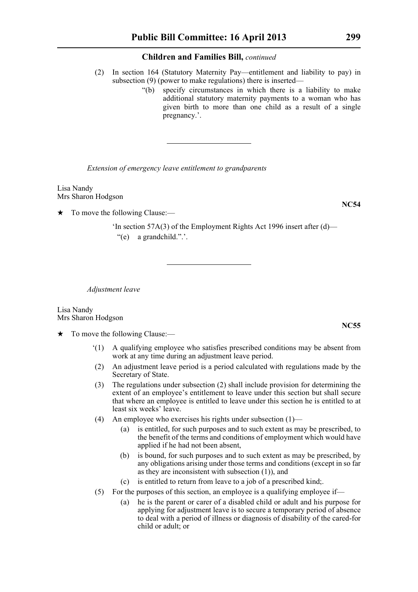- (2) In section 164 (Statutory Maternity Pay—entitlement and liability to pay) in subsection (9) (power to make regulations) there is inserted—
	- "(b) specify circumstances in which there is a liability to make additional statutory maternity payments to a woman who has given birth to more than one child as a result of a single pregnancy.'.

*Extension of emergency leave entitlement to grandparents*

Lisa Nandy Mrs Sharon Hodgson

To move the following Clause:—

'In section 57A(3) of the Employment Rights Act 1996 insert after (d)— "(e) a grandchild.".'.

*Adjustment leave*

Lisa Nandy Mrs Sharon Hodgson

 $\star$  To move the following Clause:—

- '(1) A qualifying employee who satisfies prescribed conditions may be absent from work at any time during an adjustment leave period.
- (2) An adjustment leave period is a period calculated with regulations made by the Secretary of State.
- (3) The regulations under subsection (2) shall include provision for determining the extent of an employee's entitlement to leave under this section but shall secure that where an employee is entitled to leave under this section he is entitled to at least six weeks' leave.
- (4) An employee who exercises his rights under subsection (1)—
	- (a) is entitled, for such purposes and to such extent as may be prescribed, to the benefit of the terms and conditions of employment which would have applied if he had not been absent,
	- (b) is bound, for such purposes and to such extent as may be prescribed, by any obligations arising under those terms and conditions (except in so far as they are inconsistent with subsection (1)), and
	- (c) is entitled to return from leave to a job of a prescribed kind;.
- (5) For the purposes of this section, an employee is a qualifying employee if—
	- (a) he is the parent or carer of a disabled child or adult and his purpose for applying for adjustment leave is to secure a temporary period of absence to deal with a period of illness or diagnosis of disability of the cared-for child or adult; or

**NC54**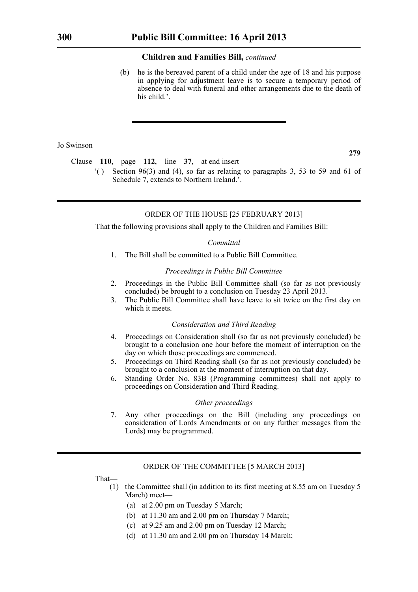(b) he is the bereaved parent of a child under the age of 18 and his purpose in applying for adjustment leave is to secure a temporary period of absence to deal with funeral and other arrangements due to the death of his child.

### Jo Swinson

**279**

Clause **110**, page **112**, line **37**, at end insert—

 $($ ) Section 96(3) and (4), so far as relating to paragraphs 3, 53 to 59 and 61 of Schedule 7, extends to Northern Ireland.'.

# ORDER OF THE HOUSE [25 FEBRUARY 2013]

That the following provisions shall apply to the Children and Families Bill:

#### *Committal*

1. The Bill shall be committed to a Public Bill Committee.

#### *Proceedings in Public Bill Committee*

- 2. Proceedings in the Public Bill Committee shall (so far as not previously concluded) be brought to a conclusion on Tuesday 23 April 2013.
- 3. The Public Bill Committee shall have leave to sit twice on the first day on which it meets.

#### *Consideration and Third Reading*

- 4. Proceedings on Consideration shall (so far as not previously concluded) be brought to a conclusion one hour before the moment of interruption on the day on which those proceedings are commenced.
- 5. Proceedings on Third Reading shall (so far as not previously concluded) be brought to a conclusion at the moment of interruption on that day.
- 6. Standing Order No. 83B (Programming committees) shall not apply to proceedings on Consideration and Third Reading.

#### *Other proceedings*

7. Any other proceedings on the Bill (including any proceedings on consideration of Lords Amendments or on any further messages from the Lords) may be programmed.

# ORDER OF THE COMMITTEE [5 MARCH 2013]

That—

- (1) the Committee shall (in addition to its first meeting at 8.55 am on Tuesday 5 March) meet—
	- (a) at 2.00 pm on Tuesday 5 March;
	- (b) at 11.30 am and 2.00 pm on Thursday 7 March;
	- (c) at 9.25 am and 2.00 pm on Tuesday 12 March;
	- (d) at 11.30 am and 2.00 pm on Thursday 14 March;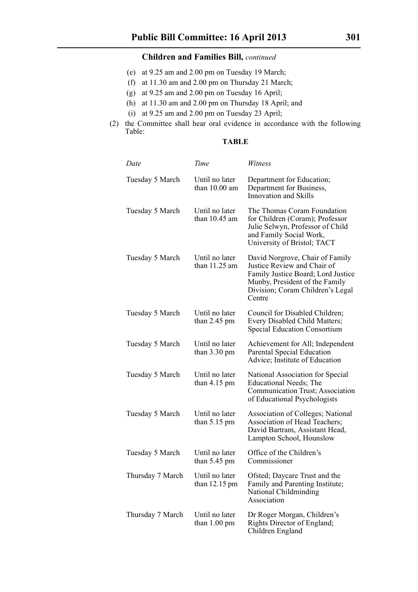- (e) at 9.25 am and 2.00 pm on Tuesday 19 March;
- (f) at 11.30 am and 2.00 pm on Thursday 21 March;
- (g) at 9.25 am and 2.00 pm on Tuesday 16 April;
- (h) at 11.30 am and 2.00 pm on Thursday 18 April; and
- (i) at 9.25 am and 2.00 pm on Tuesday 23 April;
- (2) the Committee shall hear oral evidence in accordance with the following Table:

# **TABLE**

| Date             | Time                                      | Witness                                                                                                                                                                              |
|------------------|-------------------------------------------|--------------------------------------------------------------------------------------------------------------------------------------------------------------------------------------|
| Tuesday 5 March  | Until no later<br>than $10.00$ am         | Department for Education;<br>Department for Business,<br><b>Innovation and Skills</b>                                                                                                |
| Tuesday 5 March  | Until no later<br>than $10.45$ am         | The Thomas Coram Foundation<br>for Children (Coram); Professor<br>Julie Selwyn, Professor of Child<br>and Family Social Work,<br>University of Bristol; TACT                         |
| Tuesday 5 March  | Until no later<br>than 11.25 am           | David Norgrove, Chair of Family<br>Justice Review and Chair of<br>Family Justice Board; Lord Justice<br>Munby, President of the Family<br>Division; Coram Children's Legal<br>Centre |
| Tuesday 5 March  | Until no later<br>than $2.45$ pm          | Council for Disabled Children;<br>Every Disabled Child Matters;<br><b>Special Education Consortium</b>                                                                               |
| Tuesday 5 March  | Until no later<br>than $3.30 \text{ pm}$  | Achievement for All; Independent<br>Parental Special Education<br>Advice; Institute of Education                                                                                     |
| Tuesday 5 March  | Until no later<br>than $4.15 \text{ pm}$  | National Association for Special<br><b>Educational Needs</b> ; The<br>Communication Trust; Association<br>of Educational Psychologists                                               |
| Tuesday 5 March  | Until no later<br>than $5.15 \text{ pm}$  | Association of Colleges; National<br>Association of Head Teachers;<br>David Bartram, Assistant Head,<br>Lampton School, Hounslow                                                     |
| Tuesday 5 March  | Until no later<br>than $5.45$ pm          | Office of the Children's<br>Commissioner                                                                                                                                             |
| Thursday 7 March | Until no later<br>than $12.15 \text{ pm}$ | Ofsted; Daycare Trust and the<br>Family and Parenting Institute;<br>National Childminding<br>Association                                                                             |
| Thursday 7 March | Until no later<br>than $1.00 \text{ pm}$  | Dr Roger Morgan, Children's<br>Rights Director of England;<br>Children England                                                                                                       |